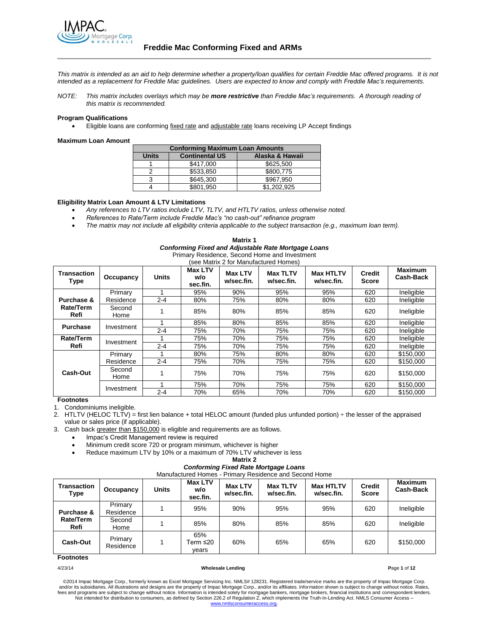

*This matrix is intended as an aid to help determine whether a property/loan qualifies for certain Freddie Mac offered programs. It is not intended as a replacement for Freddie Mac guidelines. Users are expected to know and comply with Freddie Mac's requirements.*

*NOTE: This matrix includes overlays which may be more restrictive than Freddie Mac's requirements. A thorough reading of this matrix is recommended.*

#### **Program Qualifications**

Eligible loans are conforming fixed rate and adjustable rate loans receiving LP Accept findings

#### **Maximum Loan Amount**

| <b>Conforming Maximum Loan Amounts</b> |                       |                 |  |  |
|----------------------------------------|-----------------------|-----------------|--|--|
| <b>Units</b>                           | <b>Continental US</b> | Alaska & Hawaii |  |  |
|                                        | \$417,000             | \$625.500       |  |  |
|                                        | \$533,850             | \$800,775       |  |  |
| 3                                      | \$645,300             | \$967,950       |  |  |
|                                        | \$801,950             | \$1.202.925     |  |  |
|                                        |                       |                 |  |  |

#### **Eligibility Matrix Loan Amount & LTV Limitations**

- *Any references to LTV ratios include LTV, TLTV, and HTLTV ratios, unless otherwise noted.*
- *References to Rate/Term include Freddie Mac's "no cash-out" refinance program*
- *The matrix may not include all eligibility criteria applicable to the subject transaction (e.g., maximum loan term).*

| Matrix 1                                                   |
|------------------------------------------------------------|
| <b>Conforming Fixed and Adjustable Rate Mortgage Loans</b> |
| Primary Residence, Second Home and Investment              |

|  |  |  | (see Matrix 2 for Manufactured Homes) |  |
|--|--|--|---------------------------------------|--|
|--|--|--|---------------------------------------|--|

| Transaction<br>Type      | Occupancy      | <b>Units</b> | <b>Max LTV</b><br>w/o<br>sec.fin. | <b>Max LTV</b><br>w/sec.fin. | <b>Max TLTV</b><br>w/sec.fin. | <b>Max HTLTV</b><br>w/sec.fin. | <b>Credit</b><br><b>Score</b> | <b>Maximum</b><br>Cash-Back |
|--------------------------|----------------|--------------|-----------------------------------|------------------------------|-------------------------------|--------------------------------|-------------------------------|-----------------------------|
|                          | Primary        |              | 95%                               | 90%                          | 95%                           | 95%                            | 620                           | Ineligible                  |
| Purchase &               | Residence      | $2 - 4$      | 80%                               | 75%                          | 80%                           | 80%                            | 620                           | Ineligible                  |
| <b>Rate/Term</b><br>Refi | Second<br>Home |              | 85%                               | 80%                          | 85%                           | 85%                            | 620                           | Ineligible                  |
| <b>Purchase</b>          |                |              | 85%                               | 80%                          | 85%                           | 85%                            | 620                           | Ineligible                  |
|                          | Investment     | $2 - 4$      | 75%                               | 70%                          | 75%                           | 75%                            | 620                           | Ineligible                  |
| Rate/Term                | Investment     |              | 75%                               | 70%                          | 75%                           | 75%                            | 620                           | Ineligible                  |
| Refi                     | $2 - 4$        | 75%          | 70%                               | 75%                          | 75%                           | 620                            | Ineligible                    |                             |
|                          | Primary        |              | 80%                               | 75%                          | 80%                           | 80%                            | 620                           | \$150,000                   |
|                          | Residence      | $2 - 4$      | 75%                               | 70%                          | 75%                           | 75%                            | 620                           | \$150,000                   |
| Cash-Out                 | Second<br>Home |              | 75%                               | 70%                          | 75%                           | 75%                            | 620                           | \$150,000                   |
|                          | Investment     |              | 75%                               | 70%                          | 75%                           | 75%                            | 620                           | \$150,000                   |
|                          |                | $2 - 4$      | 70%                               | 65%                          | 70%                           | 70%                            | 620                           | \$150,000                   |

**Footnotes**

1. Condominiums ineligible.

2. HTLTV (HELOC TLTV) = first lien balance + total HELOC amount (funded plus unfunded portion) ÷ the lesser of the appraised value or sales price (if applicable).

3. Cash back greater than \$150,000 is eligible and requirements are as follows.

• Impac's Credit Management review is required

Minimum credit score 720 or program minimum, whichever is higher

Reduce maximum LTV by 10% or a maximum of 70% LTV whichever is less

**Matrix 2**

# *Conforming Fixed Rate Mortgage Loans*

|  |  | Manufactured Homes - Primary Residence and Second Home |
|--|--|--------------------------------------------------------|

| <b>Transaction</b><br>Type | Occupancy            | Units | <b>Max LTV</b><br>w/o<br>sec.fin. | <b>Max LTV</b><br>w/sec.fin. | <b>Max TLTV</b><br>w/sec.fin. | <b>Max HTLTV</b><br>w/sec.fin. | <b>Credit</b><br><b>Score</b> | <b>Maximum</b><br><b>Cash-Back</b> |
|----------------------------|----------------------|-------|-----------------------------------|------------------------------|-------------------------------|--------------------------------|-------------------------------|------------------------------------|
| Purchase &                 | Primary<br>Residence |       | 95%                               | 90%                          | 95%                           | 95%                            | 620                           | Ineligible                         |
| Rate/Term<br>Refi          | Second<br>Home       |       | 85%                               | 80%                          | 85%                           | 85%                            | 620                           | Ineligible                         |
| Cash-Out                   | Primary<br>Residence |       | 65%<br>Term ≤20<br>years          | 60%                          | 65%                           | 65%                            | 620                           | \$150,000                          |

## **Footnotes**

#### 4/23/14 **Wholesale Lending P**age **1** of **12**

©2014 Impac Mortgage Corp., formerly known as Excel Mortgage Servicing Inc. NMLS# 128231. Registered trade/service marks are the property of Impac Mortgage Corp. and/or its subsidiaries. All illustrations and designs are the property of Impac Mortgage Corp., and/or its affiliates. Information shown is subject to change without notice. Rates,<br>fees and programs are subject to change Not intended for distribution to consumers, as defined by Section 226.2 of Regulation Z, which implements the Truth-In-Lending Act. NMLS Consumer Access – www.nm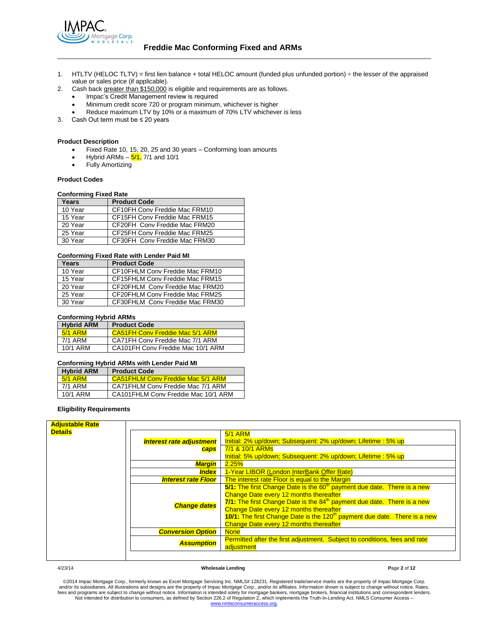

- 1. HTLTV (HELOC TLTV) = first lien balance + total HELOC amount (funded plus unfunded portion) ÷ the lesser of the appraised value or sales price (if applicable).
- 2. Cash back greater than \$150,000 is eligible and requirements are as follows.
	- Impac's Credit Management review is required
	- Minimum credit score 720 or program minimum, whichever is higher
	- Reduce maximum LTV by 10% or a maximum of 70% LTV whichever is less
- 3. Cash Out term must be ≤ 20 years

## **Product Description**

- Fixed Rate 10, 15, 20, 25 and 30 years Conforming loan amounts
- Hybrid ARMs  $-5/1$ , 7/1 and 10/1
- Fully Amortizing

#### **Product Codes**

## **Conforming Fixed Rate**

| Years   | <b>Product Code</b>           |
|---------|-------------------------------|
| 10 Year | CF10FH Conv Freddie Mac FRM10 |
| 15 Year | CF15FH Conv Freddie Mac FRM15 |
| 20 Year | CF20FH Conv Freddie Mac FRM20 |
| 25 Year | CF25FH Conv Freddie Mac FRM25 |
| 30 Year | CF30FH Conv Freddie Mac FRM30 |

#### **Conforming Fixed Rate with Lender Paid MI**

| Years   | <b>Product Code</b>             |
|---------|---------------------------------|
| 10 Year | CF10FHLM Conv Freddie Mac FRM10 |
| 15 Year | CF15FHLM Conv Freddie Mac FRM15 |
| 20 Year | CF20FHLM Conv Freddie Mac FRM20 |
| 25 Year | CF20FHLM Conv Freddie Mac FRM25 |
| 30 Year | CF30FHLM Conv Freddie Mac FRM30 |

## **Conforming Hybrid ARMs**

| <b>Hybrid ARM</b> | <b>Product Code</b>                    |
|-------------------|----------------------------------------|
| $5/1$ ARM         | <b>CA51FH Conv Freddie Mac 5/1 ARM</b> |
| 7/1 ARM           | CA71FH Conv Freddie Mac 7/1 ARM        |
| 10/1 ARM          | CA101FH Conv Freddie Mac 10/1 ARM      |

#### **Conforming Hybrid ARMs with Lender Paid MI**

| <b>Hybrid ARM</b> | <b>Product Code</b>                 |
|-------------------|-------------------------------------|
| 5/1 ARM           | CA51FHLM Conv Freddie Mac 5/1 ARM   |
| 7/1 ARM           | CA71FHLM Conv Freddie Mac 7/1 ARM   |
| 10/1 ARM          | CA101FHLM Conv Freddie Mac 10/1 ARM |

## **Eligibility Requirements**

| <b>Adjustable Rate</b> |                                 |                                                                                                                                                                                                                                                                                                                                                                                                   |
|------------------------|---------------------------------|---------------------------------------------------------------------------------------------------------------------------------------------------------------------------------------------------------------------------------------------------------------------------------------------------------------------------------------------------------------------------------------------------|
| <b>Details</b>         |                                 | <b>5/1 ARM</b>                                                                                                                                                                                                                                                                                                                                                                                    |
|                        | <b>Interest rate adjustment</b> | Initial: 2% up/down; Subsequent: 2% up/down; Lifetime: 5% up                                                                                                                                                                                                                                                                                                                                      |
|                        | caps                            | 7/1 & 10/1 ARMs                                                                                                                                                                                                                                                                                                                                                                                   |
|                        |                                 | Initial: 5% up/down; Subsequent: 2% up/down; Lifetime: 5% up                                                                                                                                                                                                                                                                                                                                      |
|                        | <b>Margin</b>                   | 2.25%                                                                                                                                                                                                                                                                                                                                                                                             |
|                        | <i><b>Index</b></i>             | 1-Year LIBOR (London InterBank Offer Rate)                                                                                                                                                                                                                                                                                                                                                        |
|                        | <b>Interest rate Floor</b>      | The interest rate Floor is equal to the Margin                                                                                                                                                                                                                                                                                                                                                    |
|                        | <b>Change dates</b>             | 5/1: The first Change Date is the 60 <sup>th</sup> payment due date. There is a new<br>Change Date every 12 months thereafter<br>7/1: The first Change Date is the 84 <sup>th</sup> payment due date. There is a new<br>Change Date every 12 months thereafter<br>10/1: The first Change Date is the 120 <sup>th</sup> payment due date. There is a new<br>Change Date every 12 months thereafter |
|                        | <b>Conversion Option</b>        | <b>None</b>                                                                                                                                                                                                                                                                                                                                                                                       |
|                        | <b>Assumption</b>               | Permitted after the first adjustment. Subject to conditions, fees and rate<br>adjustment                                                                                                                                                                                                                                                                                                          |
|                        |                                 |                                                                                                                                                                                                                                                                                                                                                                                                   |

#### 4/23/14 **Wholesale Lending P**age **2** of **12**

©2014 Impac Mortgage Corp., formerly known as Excel Mortgage Servicing Inc. NMLS# 128231. Registered trade/service marks are the property of Impac Mortgage Corp. and/or its subsidiaries. All illustrations and designs are the property of Impac Mortgage Corp., and/or its affiliates. Information shown is subject to change without notice. Rates,<br>fees and programs are subject to change [www.nmlsconsumeraccess.org.](http://www.nmlsconsumeraccess.org/)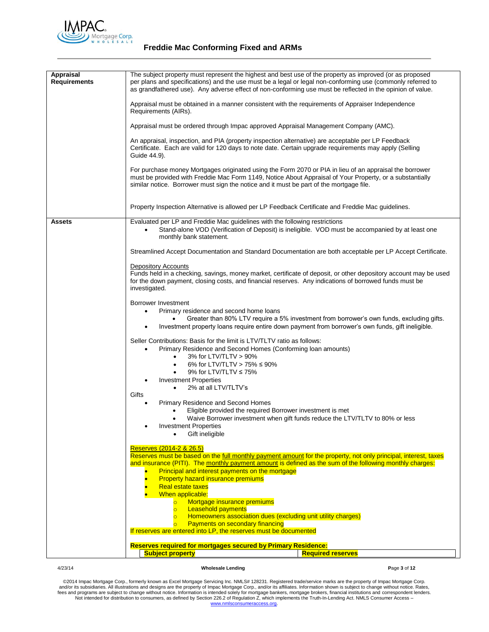

# **Freddie Mac Conforming Fixed and ARMs**

| Appraisal           | The subject property must represent the highest and best use of the property as improved (or as proposed                                                                                                                                                                                                       |
|---------------------|----------------------------------------------------------------------------------------------------------------------------------------------------------------------------------------------------------------------------------------------------------------------------------------------------------------|
| <b>Requirements</b> | per plans and specifications) and the use must be a legal or legal non-conforming use (commonly referred to<br>as grandfathered use). Any adverse effect of non-conforming use must be reflected in the opinion of value.                                                                                      |
|                     | Appraisal must be obtained in a manner consistent with the requirements of Appraiser Independence<br>Requirements (AIRs).                                                                                                                                                                                      |
|                     | Appraisal must be ordered through Impac approved Appraisal Management Company (AMC).                                                                                                                                                                                                                           |
|                     | An appraisal, inspection, and PIA (property inspection alternative) are acceptable per LP Feedback<br>Certificate. Each are valid for 120 days to note date. Certain upgrade requirements may apply (Selling<br>Guide 44.9).                                                                                   |
|                     | For purchase money Mortgages originated using the Form 2070 or PIA in lieu of an appraisal the borrower<br>must be provided with Freddie Mac Form 1149, Notice About Appraisal of Your Property, or a substantially<br>similar notice. Borrower must sign the notice and it must be part of the mortgage file. |
|                     | Property Inspection Alternative is allowed per LP Feedback Certificate and Freddie Mac guidelines.                                                                                                                                                                                                             |
| Assets              | Evaluated per LP and Freddie Mac guidelines with the following restrictions                                                                                                                                                                                                                                    |
|                     | Stand-alone VOD (Verification of Deposit) is ineligible. VOD must be accompanied by at least one<br>monthly bank statement.                                                                                                                                                                                    |
|                     | Streamlined Accept Documentation and Standard Documentation are both acceptable per LP Accept Certificate.                                                                                                                                                                                                     |
|                     | <b>Depository Accounts</b>                                                                                                                                                                                                                                                                                     |
|                     | Funds held in a checking, savings, money market, certificate of deposit, or other depository account may be used<br>for the down payment, closing costs, and financial reserves. Any indications of borrowed funds must be<br>investigated.                                                                    |
|                     | Borrower Investment                                                                                                                                                                                                                                                                                            |
|                     | Primary residence and second home loans<br>$\bullet$                                                                                                                                                                                                                                                           |
|                     | Greater than 80% LTV require a 5% investment from borrower's own funds, excluding gifts.<br>Investment property loans require entire down payment from borrower's own funds, gift ineligible.<br>$\bullet$                                                                                                     |
|                     | Seller Contributions: Basis for the limit is LTV/TLTV ratio as follows:                                                                                                                                                                                                                                        |
|                     | Primary Residence and Second Homes (Conforming Ioan amounts)                                                                                                                                                                                                                                                   |
|                     | 3% for LTV/TLTV > 90%<br>$\bullet$<br>6% for LTV/TLTV > 75% $\leq$ 90%<br>$\bullet$                                                                                                                                                                                                                            |
|                     | 9% for LTV/TLTV $\leq 75\%$                                                                                                                                                                                                                                                                                    |
|                     | <b>Investment Properties</b>                                                                                                                                                                                                                                                                                   |
|                     | 2% at all LTV/TLTV's<br>$\bullet$<br>Gifts                                                                                                                                                                                                                                                                     |
|                     | Primary Residence and Second Homes<br>$\bullet$                                                                                                                                                                                                                                                                |
|                     | Eligible provided the required Borrower investment is met                                                                                                                                                                                                                                                      |
|                     | Waive Borrower investment when gift funds reduce the LTV/TLTV to 80% or less<br>٠                                                                                                                                                                                                                              |
|                     | <b>Investment Properties</b><br>Gift ineligible<br>$\bullet$                                                                                                                                                                                                                                                   |
|                     | Reserves (2014-2 & 26.5)                                                                                                                                                                                                                                                                                       |
|                     | Reserves must be based on the full monthly payment amount for the property, not only principal, interest, taxes                                                                                                                                                                                                |
|                     | and insurance (PITI). The monthly payment amount is defined as the sum of the following monthly charges:<br>Principal and interest payments on the mortgage                                                                                                                                                    |
|                     | <b>Property hazard insurance premiums</b>                                                                                                                                                                                                                                                                      |
|                     | <b>Real estate taxes</b><br>When applicable:                                                                                                                                                                                                                                                                   |
|                     | Mortgage insurance premiums<br>$\overline{O}$                                                                                                                                                                                                                                                                  |
|                     | <b>Leasehold payments</b><br>$\overline{\circ}$                                                                                                                                                                                                                                                                |
|                     | <b>Homeowners association dues (excluding unit utility charges)</b><br>$\overline{\circ}$<br><b>Payments on secondary financing</b><br>$\circ$                                                                                                                                                                 |
|                     | If reserves are entered into LP, the reserves must be documented                                                                                                                                                                                                                                               |
|                     | Reserves required for mortgages secured by Primary Residence:                                                                                                                                                                                                                                                  |
|                     | <b>Subject property</b><br><b>Required reserves</b>                                                                                                                                                                                                                                                            |

## 4/23/14 **Wholesale Lending P**age **3** of **12**

@2014 Impac Mortgage Corp., formerly known as Excel Mortgage Servicing Inc. NMLS# 128231. Registered trade/service marks are the property of Impac Mortgage Corp.<br>https://www.assurfactions and designs are the property of Im [www.nmlsconsumeraccess.org.](http://www.nmlsconsumeraccess.org/)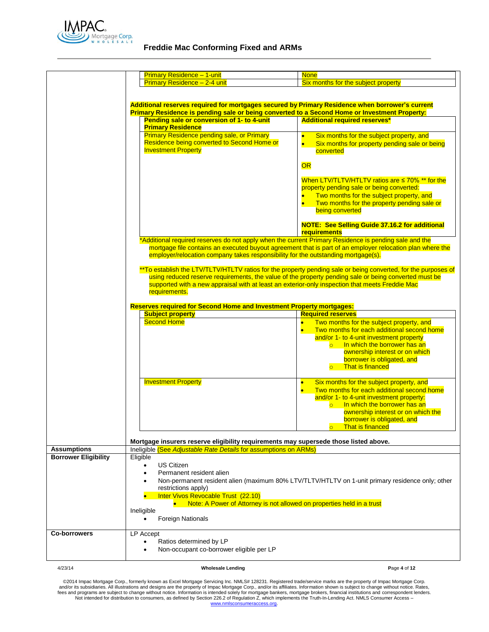

# **Freddie Mac Conforming Fixed and ARMs**

|                             | <b>Primary Residence - 1-unit</b>                                                                                                                                                          | <b>None</b>                                                                                                                                                                                                                                                                                                      |
|-----------------------------|--------------------------------------------------------------------------------------------------------------------------------------------------------------------------------------------|------------------------------------------------------------------------------------------------------------------------------------------------------------------------------------------------------------------------------------------------------------------------------------------------------------------|
|                             | Primary Residence - 2-4 unit                                                                                                                                                               | Six months for the subject property                                                                                                                                                                                                                                                                              |
|                             |                                                                                                                                                                                            |                                                                                                                                                                                                                                                                                                                  |
|                             | Additional reserves required for mortgages secured by Primary Residence when borrower's current                                                                                            |                                                                                                                                                                                                                                                                                                                  |
|                             | Primary Residence is pending sale or being converted to a Second Home or Investment Property:                                                                                              |                                                                                                                                                                                                                                                                                                                  |
|                             | Pending sale or conversion of 1- to 4-unit<br><b>Primary Residence</b>                                                                                                                     | <b>Additional required reserves*</b>                                                                                                                                                                                                                                                                             |
|                             | <b>Primary Residence pending sale, or Primary</b><br>Residence being converted to Second Home or<br><b>Investment Property</b>                                                             | Six months for the subject property, and<br>$\bullet$<br>$\bullet$<br>Six months for property pending sale or being<br>converted                                                                                                                                                                                 |
|                             |                                                                                                                                                                                            | <b>OR</b>                                                                                                                                                                                                                                                                                                        |
|                             |                                                                                                                                                                                            | When LTV/TLTV/HTLTV ratios are $\leq 70\%$ ** for the<br>property pending sale or being converted:<br>Two months for the subject property, and<br>Two months for the property pending sale or<br>being converted                                                                                                 |
|                             |                                                                                                                                                                                            | <b>NOTE: See Selling Guide 37.16.2 for additional</b><br>requirements                                                                                                                                                                                                                                            |
|                             | *Additional required reserves do not apply when the current Primary Residence is pending sale and the<br>employer/relocation company takes responsibility for the outstanding mortgage(s). | mortgage file contains an executed buyout agreement that is part of an employer relocation plan where the                                                                                                                                                                                                        |
|                             | supported with a new appraisal with at least an exterior-only inspection that meets Freddie Mac<br>requirements.                                                                           | **To establish the LTV/TLTV/HTLTV ratios for the property pending sale or being converted, for the purposes of<br>using reduced reserve requirements, the value of the property pending sale or being converted must be                                                                                          |
|                             |                                                                                                                                                                                            |                                                                                                                                                                                                                                                                                                                  |
|                             | <b>Reserves required for Second Home and Investment Property mortgages:</b><br><b>Subject property</b>                                                                                     | <b>Required reserves</b>                                                                                                                                                                                                                                                                                         |
|                             | <b>Second Home</b>                                                                                                                                                                         | Two months for the subject property, and<br>Two months for each additional second home<br>$\bullet$<br>and/or 1- to 4-unit investment property<br>In which the borrower has an<br>$\overline{\circ}$<br>ownership interest or on which<br>borrower is obligated, and<br>That is financed<br>$\overline{\circ}$ . |
|                             | <b>Investment Property</b>                                                                                                                                                                 | Six months for the subject property, and<br>$\bullet$<br>Two months for each additional second home<br>$\bullet$<br>and/or 1- to 4-unit investment property:<br>In which the borrower has an<br>$\circ$<br>ownership interest or on which the<br>borrower is obligated, and<br>o That is financed                |
|                             | Mortgage insurers reserve eligibility requirements may supersede those listed above.                                                                                                       |                                                                                                                                                                                                                                                                                                                  |
| <b>Assumptions</b>          | Ineligible (See Adjustable Rate Details for assumptions on ARMs)                                                                                                                           |                                                                                                                                                                                                                                                                                                                  |
| <b>Borrower Eligibility</b> | Eligible<br><b>US Citizen</b><br>Permanent resident alien<br>$\bullet$                                                                                                                     |                                                                                                                                                                                                                                                                                                                  |
|                             | restrictions apply)<br>Inter Vivos Revocable Trust (22.10)<br>Note: A Power of Attorney is not allowed on properties held in a trust<br>Ineligible<br>Foreign Nationals                    | Non-permanent resident alien (maximum 80% LTV/TLTV/HTLTV on 1-unit primary residence only; other                                                                                                                                                                                                                 |
| <b>Co-borrowers</b>         | LP Accept<br>Ratios determined by LP<br>Non-occupant co-borrower eligible per LP                                                                                                           |                                                                                                                                                                                                                                                                                                                  |
| 4/23/14                     | <b>Wholesale Lending</b>                                                                                                                                                                   | Page 4 of 12                                                                                                                                                                                                                                                                                                     |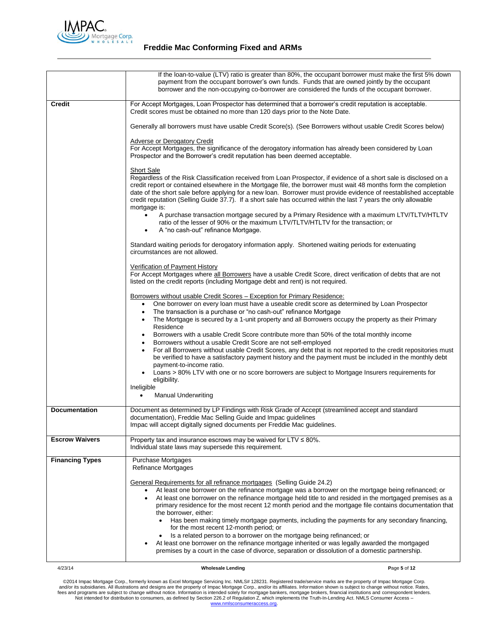

|                        | If the loan-to-value (LTV) ratio is greater than 80%, the occupant borrower must make the first 5% down<br>payment from the occupant borrower's own funds. Funds that are owned jointly by the occupant<br>borrower and the non-occupying co-borrower are considered the funds of the occupant borrower.                                                                                                                                                                                                                                                                                                                                                                                                                                                                                                                                                                           |
|------------------------|------------------------------------------------------------------------------------------------------------------------------------------------------------------------------------------------------------------------------------------------------------------------------------------------------------------------------------------------------------------------------------------------------------------------------------------------------------------------------------------------------------------------------------------------------------------------------------------------------------------------------------------------------------------------------------------------------------------------------------------------------------------------------------------------------------------------------------------------------------------------------------|
| Credit                 | For Accept Mortgages, Loan Prospector has determined that a borrower's credit reputation is acceptable.<br>Credit scores must be obtained no more than 120 days prior to the Note Date.                                                                                                                                                                                                                                                                                                                                                                                                                                                                                                                                                                                                                                                                                            |
|                        | Generally all borrowers must have usable Credit Score(s). (See Borrowers without usable Credit Scores below)                                                                                                                                                                                                                                                                                                                                                                                                                                                                                                                                                                                                                                                                                                                                                                       |
|                        | Adverse or Derogatory Credit<br>For Accept Mortgages, the significance of the derogatory information has already been considered by Loan<br>Prospector and the Borrower's credit reputation has been deemed acceptable.                                                                                                                                                                                                                                                                                                                                                                                                                                                                                                                                                                                                                                                            |
|                        | <b>Short Sale</b><br>Regardless of the Risk Classification received from Loan Prospector, if evidence of a short sale is disclosed on a<br>credit report or contained elsewhere in the Mortgage file, the borrower must wait 48 months form the completion<br>date of the short sale before applying for a new loan. Borrower must provide evidence of reestablished acceptable<br>credit reputation (Selling Guide 37.7). If a short sale has occurred within the last 7 years the only allowable<br>mortgage is:<br>A purchase transaction mortgage secured by a Primary Residence with a maximum LTV/TLTV/HTLTV                                                                                                                                                                                                                                                                 |
|                        | ratio of the lesser of 90% or the maximum LTV/TLTV/HTLTV for the transaction; or<br>A "no cash-out" refinance Mortgage.                                                                                                                                                                                                                                                                                                                                                                                                                                                                                                                                                                                                                                                                                                                                                            |
|                        | Standard waiting periods for derogatory information apply. Shortened waiting periods for extenuating<br>circumstances are not allowed.                                                                                                                                                                                                                                                                                                                                                                                                                                                                                                                                                                                                                                                                                                                                             |
|                        | Verification of Payment History<br>For Accept Mortgages where all Borrowers have a usable Credit Score, direct verification of debts that are not<br>listed on the credit reports (including Mortgage debt and rent) is not required.                                                                                                                                                                                                                                                                                                                                                                                                                                                                                                                                                                                                                                              |
|                        | Borrowers without usable Credit Scores - Exception for Primary Residence:<br>One borrower on every loan must have a useable credit score as determined by Loan Prospector<br>$\bullet$<br>The transaction is a purchase or "no cash-out" refinance Mortgage<br>$\bullet$<br>The Mortgage is secured by a 1-unit property and all Borrowers occupy the property as their Primary<br>$\bullet$<br>Residence                                                                                                                                                                                                                                                                                                                                                                                                                                                                          |
|                        | Borrowers with a usable Credit Score contribute more than 50% of the total monthly income<br>Borrowers without a usable Credit Score are not self-employed<br>$\bullet$<br>For all Borrowers without usable Credit Scores, any debt that is not reported to the credit repositories must<br>be verified to have a satisfactory payment history and the payment must be included in the monthly debt<br>payment-to-income ratio.<br>Loans > 80% LTV with one or no score borrowers are subject to Mortgage Insurers requirements for                                                                                                                                                                                                                                                                                                                                                |
|                        | eligibility.<br>Ineligible                                                                                                                                                                                                                                                                                                                                                                                                                                                                                                                                                                                                                                                                                                                                                                                                                                                         |
|                        | <b>Manual Underwriting</b><br>٠                                                                                                                                                                                                                                                                                                                                                                                                                                                                                                                                                                                                                                                                                                                                                                                                                                                    |
| <b>Documentation</b>   | Document as determined by LP Findings with Risk Grade of Accept (streamlined accept and standard<br>documentation), Freddie Mac Selling Guide and Impac guidelines<br>Impac will accept digitally signed documents per Freddie Mac guidelines.                                                                                                                                                                                                                                                                                                                                                                                                                                                                                                                                                                                                                                     |
| <b>Escrow Waivers</b>  | Property tax and insurance escrows may be waived for $LTV \le 80\%$ .<br>Individual state laws may supersede this requirement.                                                                                                                                                                                                                                                                                                                                                                                                                                                                                                                                                                                                                                                                                                                                                     |
| <b>Financing Types</b> | <b>Purchase Mortgages</b><br>Refinance Mortgages                                                                                                                                                                                                                                                                                                                                                                                                                                                                                                                                                                                                                                                                                                                                                                                                                                   |
|                        | General Requirements for all refinance mortgages (Selling Guide 24.2)<br>At least one borrower on the refinance mortgage was a borrower on the mortgage being refinanced; or<br>At least one borrower on the refinance mortgage held title to and resided in the mortgaged premises as a<br>$\bullet$<br>primary residence for the most recent 12 month period and the mortgage file contains documentation that<br>the borrower, either:<br>Has been making timely mortgage payments, including the payments for any secondary financing,<br>for the most recent 12-month period; or<br>Is a related person to a borrower on the mortgage being refinanced; or<br>$\bullet$<br>At least one borrower on the refinance mortgage inherited or was legally awarded the mortgaged<br>premises by a court in the case of divorce, separation or dissolution of a domestic partnership. |
|                        |                                                                                                                                                                                                                                                                                                                                                                                                                                                                                                                                                                                                                                                                                                                                                                                                                                                                                    |

4/23/14 **Wholesale Lending P**age **5** of **12**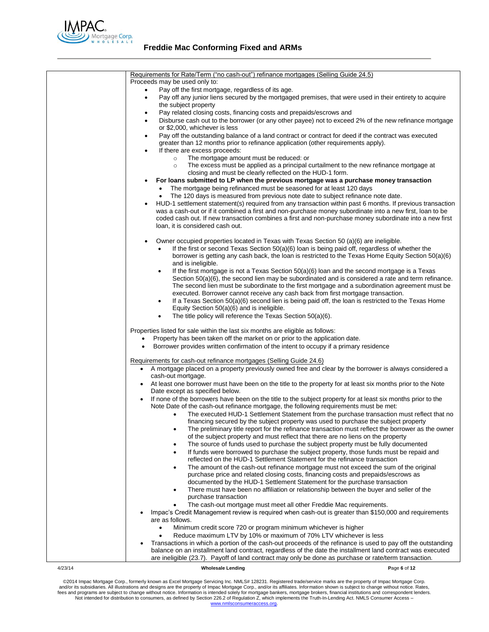

| Requirements for Rate/Term ("no cash-out") refinance mortgages (Selling Guide 24.5)                                                                                    |
|------------------------------------------------------------------------------------------------------------------------------------------------------------------------|
| Proceeds may be used only to:                                                                                                                                          |
|                                                                                                                                                                        |
| Pay off the first mortgage, regardless of its age.                                                                                                                     |
| Pay off any junior liens secured by the mortgaged premises, that were used in their entirety to acquire                                                                |
| the subject property                                                                                                                                                   |
| Pay related closing costs, financing costs and prepaids/escrows and<br>٠                                                                                               |
| Disburse cash out to the borrower (or any other payee) not to exceed 2% of the new refinance mortgage<br>٠                                                             |
| or \$2,000, whichever is less                                                                                                                                          |
| Pay off the outstanding balance of a land contract or contract for deed if the contract was executed<br>٠                                                              |
| greater than 12 months prior to refinance application (other requirements apply).                                                                                      |
| If there are excess proceeds:<br>٠                                                                                                                                     |
| The mortgage amount must be reduced: or<br>$\circ$                                                                                                                     |
| The excess must be applied as a principal curtailment to the new refinance mortgage at<br>$\circ$                                                                      |
| closing and must be clearly reflected on the HUD-1 form.                                                                                                               |
| For loans submitted to LP when the previous mortgage was a purchase money transaction                                                                                  |
| The mortgage being refinanced must be seasoned for at least 120 days                                                                                                   |
| The 120 days is measured from previous note date to subject refinance note date.<br>$\bullet$                                                                          |
| HUD-1 settlement statement(s) required from any transaction within past 6 months. If previous transaction                                                              |
| was a cash-out or if it combined a first and non-purchase money subordinate into a new first, loan to be                                                               |
| coded cash out. If new transaction combines a first and non-purchase money subordinate into a new first                                                                |
| loan, it is considered cash out.                                                                                                                                       |
|                                                                                                                                                                        |
| Owner occupied properties located in Texas with Texas Section 50 (a)(6) are ineligible.<br>٠                                                                           |
| If the first or second Texas Section 50(a)(6) loan is being paid off, regardless of whether the<br>٠                                                                   |
| borrower is getting any cash back, the loan is restricted to the Texas Home Equity Section 50(a)(6)                                                                    |
| and is ineligible.                                                                                                                                                     |
| If the first mortgage is not a Texas Section 50(a)(6) loan and the second mortgage is a Texas                                                                          |
| ٠<br>Section $50(a)(6)$ , the second lien may be subordinated and is considered a rate and term refinance.                                                             |
| The second lien must be subordinate to the first mortgage and a subordination agreement must be                                                                        |
| executed. Borrower cannot receive any cash back from first mortgage transaction.                                                                                       |
|                                                                                                                                                                        |
| If a Texas Section 50(a)(6) second lien is being paid off, the loan is restricted to the Texas Home<br>٠                                                               |
| Equity Section 50(a)(6) and is ineligible.                                                                                                                             |
| The title policy will reference the Texas Section 50(a)(6).<br>٠                                                                                                       |
| Properties listed for sale within the last six months are eligible as follows:                                                                                         |
| Property has been taken off the market on or prior to the application date.                                                                                            |
| Borrower provides written confirmation of the intent to occupy if a primary residence                                                                                  |
|                                                                                                                                                                        |
| Requirements for cash-out refinance mortgages (Selling Guide 24.6)                                                                                                     |
| A mortgage placed on a property previously owned free and clear by the borrower is always considered a<br>$\bullet$                                                    |
| cash-out mortgage.                                                                                                                                                     |
| At least one borrower must have been on the title to the property for at least six months prior to the Note                                                            |
| Date except as specified below.                                                                                                                                        |
| If none of the borrowers have been on the title to the subject property for at least six months prior to the                                                           |
| Note Date of the cash-out refinance mortgage, the following requirements must be met:                                                                                  |
| The executed HUD-1 Settlement Statement from the purchase transaction must reflect that no                                                                             |
| financing secured by the subject property was used to purchase the subject property                                                                                    |
|                                                                                                                                                                        |
| The preliminary title report for the refinance transaction must reflect the borrower as the owner                                                                      |
| of the subject property and must reflect that there are no liens on the property<br>The source of funds used to purchase the subject property must be fully documented |
| ٠                                                                                                                                                                      |
| If funds were borrowed to purchase the subject property, those funds must be repaid and                                                                                |
| reflected on the HUD-1 Settlement Statement for the refinance transaction                                                                                              |
| The amount of the cash-out refinance mortgage must not exceed the sum of the original<br>$\bullet$                                                                     |
| purchase price and related closing costs, financing costs and prepaids/escrows as                                                                                      |
| documented by the HUD-1 Settlement Statement for the purchase transaction                                                                                              |
| There must have been no affiliation or relationship between the buyer and seller of the<br>$\bullet$                                                                   |
| purchase transaction                                                                                                                                                   |
| The cash-out mortgage must meet all other Freddie Mac requirements.                                                                                                    |
| Impac's Credit Management review is required when cash-out is greater than \$150,000 and requirements                                                                  |
| are as follows.                                                                                                                                                        |
| Minimum credit score 720 or program minimum whichever is higher<br>$\bullet$                                                                                           |
| Reduce maximum LTV by 10% or maximum of 70% LTV whichever is less                                                                                                      |
| Transactions in which a portion of the cash-out proceeds of the refinance is used to pay off the outstanding                                                           |
| balance on an installment land contract, regardless of the date the installment land contract was executed                                                             |
| are ineligible (23.7). Payoff of land contract may only be done as purchase or rate/term transaction.                                                                  |

## 4/23/14 **Wholesale Lending P**age **6** of **12**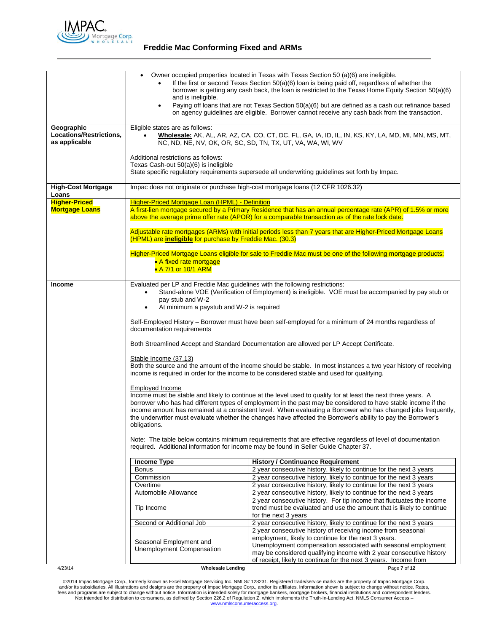

|                                                        | Owner occupied properties located in Texas with Texas Section 50 (a)(6) are ineligible.<br>If the first or second Texas Section 50(a)(6) loan is being paid off, regardless of whether the<br>borrower is getting any cash back, the loan is restricted to the Texas Home Equity Section 50(a)(6)<br>and is ineligible.<br>Paying off loans that are not Texas Section 50(a)(6) but are defined as a cash out refinance based<br>$\bullet$<br>on agency guidelines are eligible. Borrower cannot receive any cash back from the transaction.                                                                                                                                                                                                                                                                                                                                                                                                                                                                                                                                                                                                                                                                                                                                                                                                                                                                                                      |                                                                                                                                                                        |
|--------------------------------------------------------|---------------------------------------------------------------------------------------------------------------------------------------------------------------------------------------------------------------------------------------------------------------------------------------------------------------------------------------------------------------------------------------------------------------------------------------------------------------------------------------------------------------------------------------------------------------------------------------------------------------------------------------------------------------------------------------------------------------------------------------------------------------------------------------------------------------------------------------------------------------------------------------------------------------------------------------------------------------------------------------------------------------------------------------------------------------------------------------------------------------------------------------------------------------------------------------------------------------------------------------------------------------------------------------------------------------------------------------------------------------------------------------------------------------------------------------------------|------------------------------------------------------------------------------------------------------------------------------------------------------------------------|
|                                                        |                                                                                                                                                                                                                                                                                                                                                                                                                                                                                                                                                                                                                                                                                                                                                                                                                                                                                                                                                                                                                                                                                                                                                                                                                                                                                                                                                                                                                                                   |                                                                                                                                                                        |
| Geographic<br>Locations/Restrictions,<br>as applicable | Eligible states are as follows:<br>Wholesale: AK, AL, AR, AZ, CA, CO, CT, DC, FL, GA, IA, ID, IL, IN, KS, KY, LA, MD, MI, MN, MS, MT,<br>NC, ND, NE, NV, OK, OR, SC, SD, TN, TX, UT, VA, WA, WI, WV                                                                                                                                                                                                                                                                                                                                                                                                                                                                                                                                                                                                                                                                                                                                                                                                                                                                                                                                                                                                                                                                                                                                                                                                                                               |                                                                                                                                                                        |
|                                                        | Additional restrictions as follows:<br>Texas Cash-out 50(a)(6) is ineligible<br>State specific regulatory requirements supersede all underwriting guidelines set forth by Impac.                                                                                                                                                                                                                                                                                                                                                                                                                                                                                                                                                                                                                                                                                                                                                                                                                                                                                                                                                                                                                                                                                                                                                                                                                                                                  |                                                                                                                                                                        |
| <b>High-Cost Mortgage</b><br>Loans                     | Impac does not originate or purchase high-cost mortgage loans (12 CFR 1026.32)                                                                                                                                                                                                                                                                                                                                                                                                                                                                                                                                                                                                                                                                                                                                                                                                                                                                                                                                                                                                                                                                                                                                                                                                                                                                                                                                                                    |                                                                                                                                                                        |
| <b>Higher-Priced</b><br><b>Mortgage Loans</b>          | <b>Higher-Priced Mortgage Loan (HPML) - Definition</b><br>A first-lien mortgage secured by a Primary Residence that has an annual percentage rate (APR) of 1.5% or more<br>above the average prime offer rate (APOR) for a comparable transaction as of the rate lock date.                                                                                                                                                                                                                                                                                                                                                                                                                                                                                                                                                                                                                                                                                                                                                                                                                                                                                                                                                                                                                                                                                                                                                                       |                                                                                                                                                                        |
|                                                        | (HPML) are <i>ineligible</i> for purchase by Freddie Mac. (30.3)                                                                                                                                                                                                                                                                                                                                                                                                                                                                                                                                                                                                                                                                                                                                                                                                                                                                                                                                                                                                                                                                                                                                                                                                                                                                                                                                                                                  | Adjustable rate mortgages (ARMs) with initial periods less than 7 years that are Higher-Priced Mortgage Loans                                                          |
|                                                        | Higher-Priced Mortgage Loans eligible for sale to Freddie Mac must be one of the following mortgage products:<br>• A fixed rate mortgage<br>• A 7/1 or 10/1 ARM                                                                                                                                                                                                                                                                                                                                                                                                                                                                                                                                                                                                                                                                                                                                                                                                                                                                                                                                                                                                                                                                                                                                                                                                                                                                                   |                                                                                                                                                                        |
|                                                        |                                                                                                                                                                                                                                                                                                                                                                                                                                                                                                                                                                                                                                                                                                                                                                                                                                                                                                                                                                                                                                                                                                                                                                                                                                                                                                                                                                                                                                                   |                                                                                                                                                                        |
| <b>Income</b>                                          | Evaluated per LP and Freddie Mac guidelines with the following restrictions:<br>Stand-alone VOE (Verification of Employment) is ineligible. VOE must be accompanied by pay stub or<br>pay stub and W-2<br>At minimum a paystub and W-2 is required<br>Self-Employed History - Borrower must have been self-employed for a minimum of 24 months regardless of<br>documentation requirements<br>Both Streamlined Accept and Standard Documentation are allowed per LP Accept Certificate.<br>Stable Income (37.13)<br>Both the source and the amount of the income should be stable. In most instances a two year history of receiving<br>income is required in order for the income to be considered stable and used for qualifying.<br>Employed Income<br>Income must be stable and likely to continue at the level used to qualify for at least the next three years. A<br>borrower who has had different types of employment in the past may be considered to have stable income if the<br>income amount has remained at a consistent level. When evaluating a Borrower who has changed jobs frequently,<br>the underwriter must evaluate whether the changes have affected the Borrower's ability to pay the Borrower's<br>obligations.<br>Note: The table below contains minimum requirements that are effective regardless of level of documentation<br>required. Additional information for income may be found in Seller Guide Chapter 37. |                                                                                                                                                                        |
|                                                        |                                                                                                                                                                                                                                                                                                                                                                                                                                                                                                                                                                                                                                                                                                                                                                                                                                                                                                                                                                                                                                                                                                                                                                                                                                                                                                                                                                                                                                                   |                                                                                                                                                                        |
|                                                        | <b>Income Type</b>                                                                                                                                                                                                                                                                                                                                                                                                                                                                                                                                                                                                                                                                                                                                                                                                                                                                                                                                                                                                                                                                                                                                                                                                                                                                                                                                                                                                                                | <b>History / Continuance Requirement</b>                                                                                                                               |
|                                                        | <b>Bonus</b>                                                                                                                                                                                                                                                                                                                                                                                                                                                                                                                                                                                                                                                                                                                                                                                                                                                                                                                                                                                                                                                                                                                                                                                                                                                                                                                                                                                                                                      | 2 year consecutive history, likely to continue for the next 3 years                                                                                                    |
|                                                        | Commission                                                                                                                                                                                                                                                                                                                                                                                                                                                                                                                                                                                                                                                                                                                                                                                                                                                                                                                                                                                                                                                                                                                                                                                                                                                                                                                                                                                                                                        | 2 year consecutive history, likely to continue for the next 3 years                                                                                                    |
|                                                        | Overtime                                                                                                                                                                                                                                                                                                                                                                                                                                                                                                                                                                                                                                                                                                                                                                                                                                                                                                                                                                                                                                                                                                                                                                                                                                                                                                                                                                                                                                          | 2 year consecutive history, likely to continue for the next 3 years                                                                                                    |
|                                                        | Automobile Allowance                                                                                                                                                                                                                                                                                                                                                                                                                                                                                                                                                                                                                                                                                                                                                                                                                                                                                                                                                                                                                                                                                                                                                                                                                                                                                                                                                                                                                              | 2 year consecutive history, likely to continue for the next 3 years                                                                                                    |
|                                                        | Tip Income                                                                                                                                                                                                                                                                                                                                                                                                                                                                                                                                                                                                                                                                                                                                                                                                                                                                                                                                                                                                                                                                                                                                                                                                                                                                                                                                                                                                                                        | 2 year consecutive history. For tip income that fluctuates the income<br>trend must be evaluated and use the amount that is likely to continue<br>for the next 3 years |
|                                                        | Second or Additional Job                                                                                                                                                                                                                                                                                                                                                                                                                                                                                                                                                                                                                                                                                                                                                                                                                                                                                                                                                                                                                                                                                                                                                                                                                                                                                                                                                                                                                          | 2 year consecutive history, likely to continue for the next 3 years                                                                                                    |
|                                                        |                                                                                                                                                                                                                                                                                                                                                                                                                                                                                                                                                                                                                                                                                                                                                                                                                                                                                                                                                                                                                                                                                                                                                                                                                                                                                                                                                                                                                                                   | 2 year consecutive history of receiving income from seasonal                                                                                                           |
|                                                        |                                                                                                                                                                                                                                                                                                                                                                                                                                                                                                                                                                                                                                                                                                                                                                                                                                                                                                                                                                                                                                                                                                                                                                                                                                                                                                                                                                                                                                                   | employment, likely to continue for the next 3 years.                                                                                                                   |
|                                                        | Seasonal Employment and                                                                                                                                                                                                                                                                                                                                                                                                                                                                                                                                                                                                                                                                                                                                                                                                                                                                                                                                                                                                                                                                                                                                                                                                                                                                                                                                                                                                                           | Unemployment compensation associated with seasonal employment                                                                                                          |
|                                                        | Unemployment Compensation                                                                                                                                                                                                                                                                                                                                                                                                                                                                                                                                                                                                                                                                                                                                                                                                                                                                                                                                                                                                                                                                                                                                                                                                                                                                                                                                                                                                                         | may be considered qualifying income with 2 year consecutive history                                                                                                    |
|                                                        |                                                                                                                                                                                                                                                                                                                                                                                                                                                                                                                                                                                                                                                                                                                                                                                                                                                                                                                                                                                                                                                                                                                                                                                                                                                                                                                                                                                                                                                   | of receipt, likely to continue for the next 3 years. Income from                                                                                                       |
| 4/23/14                                                | <b>Wholesale Lending</b>                                                                                                                                                                                                                                                                                                                                                                                                                                                                                                                                                                                                                                                                                                                                                                                                                                                                                                                                                                                                                                                                                                                                                                                                                                                                                                                                                                                                                          | Page 7 of 12                                                                                                                                                           |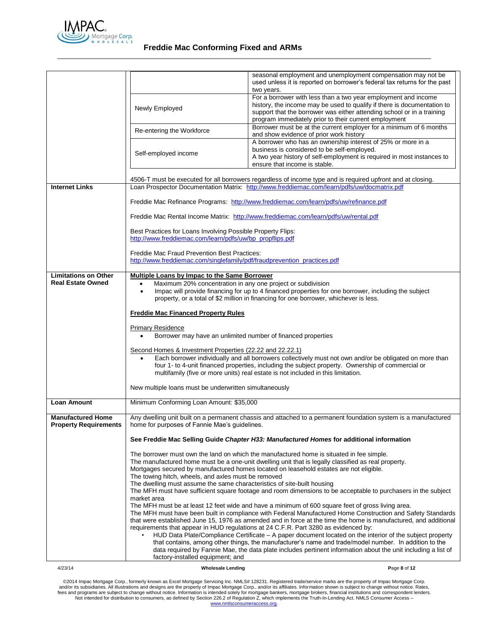

| <b>Loan Amount</b><br><b>Manufactured Home</b><br><b>Property Requirements</b> | Minimum Conforming Loan Amount: \$35,000<br>home for purposes of Fannie Mae's guidelines.<br>The towing hitch, wheels, and axles must be removed<br>The dwelling must assume the same characteristics of site-built housing                                                                                                            | Any dwelling unit built on a permanent chassis and attached to a permanent foundation system is a manufactured<br>See Freddie Mac Selling Guide Chapter H33: Manufactured Homes for additional information<br>The borrower must own the land on which the manufactured home is situated in fee simple.<br>The manufactured home must be a one-unit dwelling unit that is legally classified as real property.<br>Mortgages secured by manufactured homes located on leasehold estates are not eligible. |
|--------------------------------------------------------------------------------|----------------------------------------------------------------------------------------------------------------------------------------------------------------------------------------------------------------------------------------------------------------------------------------------------------------------------------------|---------------------------------------------------------------------------------------------------------------------------------------------------------------------------------------------------------------------------------------------------------------------------------------------------------------------------------------------------------------------------------------------------------------------------------------------------------------------------------------------------------|
|                                                                                |                                                                                                                                                                                                                                                                                                                                        |                                                                                                                                                                                                                                                                                                                                                                                                                                                                                                         |
|                                                                                |                                                                                                                                                                                                                                                                                                                                        |                                                                                                                                                                                                                                                                                                                                                                                                                                                                                                         |
|                                                                                |                                                                                                                                                                                                                                                                                                                                        |                                                                                                                                                                                                                                                                                                                                                                                                                                                                                                         |
|                                                                                |                                                                                                                                                                                                                                                                                                                                        |                                                                                                                                                                                                                                                                                                                                                                                                                                                                                                         |
|                                                                                |                                                                                                                                                                                                                                                                                                                                        |                                                                                                                                                                                                                                                                                                                                                                                                                                                                                                         |
|                                                                                | New multiple loans must be underwritten simultaneously                                                                                                                                                                                                                                                                                 |                                                                                                                                                                                                                                                                                                                                                                                                                                                                                                         |
|                                                                                | Second Homes & Investment Properties (22.22 and 22.22.1)                                                                                                                                                                                                                                                                               | Each borrower individually and all borrowers collectively must not own and/or be obligated on more than<br>four 1- to 4-unit financed properties, including the subject property. Ownership of commercial or<br>multifamily (five or more units) real estate is not included in this limitation.                                                                                                                                                                                                        |
|                                                                                | <b>Primary Residence</b><br>Borrower may have an unlimited number of financed properties                                                                                                                                                                                                                                               |                                                                                                                                                                                                                                                                                                                                                                                                                                                                                                         |
|                                                                                | <b>Freddie Mac Financed Property Rules</b>                                                                                                                                                                                                                                                                                             |                                                                                                                                                                                                                                                                                                                                                                                                                                                                                                         |
| <b>Limitations on Other</b><br><b>Real Estate Owned</b>                        | Multiple Loans by Impac to the Same Borrower<br>Maximum 20% concentration in any one project or subdivision<br>$\bullet$<br>Impac will provide financing for up to 4 financed properties for one borrower, including the subject<br>$\bullet$<br>property, or a total of \$2 million in financing for one borrower, whichever is less. |                                                                                                                                                                                                                                                                                                                                                                                                                                                                                                         |
|                                                                                | http://www.freddiemac.com/singlefamily/pdf/fraudprevention practices.pdf                                                                                                                                                                                                                                                               |                                                                                                                                                                                                                                                                                                                                                                                                                                                                                                         |
|                                                                                | http://www.freddiemac.com/learn/pdfs/uw/bp_propflips.pdf<br><b>Freddie Mac Fraud Prevention Best Practices:</b>                                                                                                                                                                                                                        |                                                                                                                                                                                                                                                                                                                                                                                                                                                                                                         |
|                                                                                | Best Practices for Loans Involving Possible Property Flips:                                                                                                                                                                                                                                                                            | Freddie Mac Rental Income Matrix: http://www.freddiemac.com/learn/pdfs/uw/rental.pdf                                                                                                                                                                                                                                                                                                                                                                                                                    |
|                                                                                |                                                                                                                                                                                                                                                                                                                                        | Freddie Mac Refinance Programs: http://www.freddiemac.com/learn/pdfs/uw/refinance.pdf                                                                                                                                                                                                                                                                                                                                                                                                                   |
| <b>Internet Links</b>                                                          | 4506-T must be executed for all borrowers regardless of income type and is required upfront and at closing.<br>Loan Prospector Documentation Matrix: http://www.freddiemac.com/learn/pdfs/uw/docmatrix.pdf                                                                                                                             |                                                                                                                                                                                                                                                                                                                                                                                                                                                                                                         |
|                                                                                | Self-employed income                                                                                                                                                                                                                                                                                                                   | business is considered to be self-employed.<br>A two year history of self-employment is required in most instances to<br>ensure that income is stable.                                                                                                                                                                                                                                                                                                                                                  |
|                                                                                | Re-entering the Workforce                                                                                                                                                                                                                                                                                                              | Borrower must be at the current employer for a minimum of 6 months<br>and show evidence of prior work history<br>A borrower who has an ownership interest of 25% or more in a                                                                                                                                                                                                                                                                                                                           |
|                                                                                | Newly Employed                                                                                                                                                                                                                                                                                                                         | For a borrower with less than a two year employment and income<br>history, the income may be used to qualify if there is documentation to<br>support that the borrower was either attending school or in a training<br>program immediately prior to their current employment                                                                                                                                                                                                                            |
|                                                                                |                                                                                                                                                                                                                                                                                                                                        | seasonal employment and unemployment compensation may not be<br>used unless it is reported on borrower's federal tax returns for the past<br>two years.                                                                                                                                                                                                                                                                                                                                                 |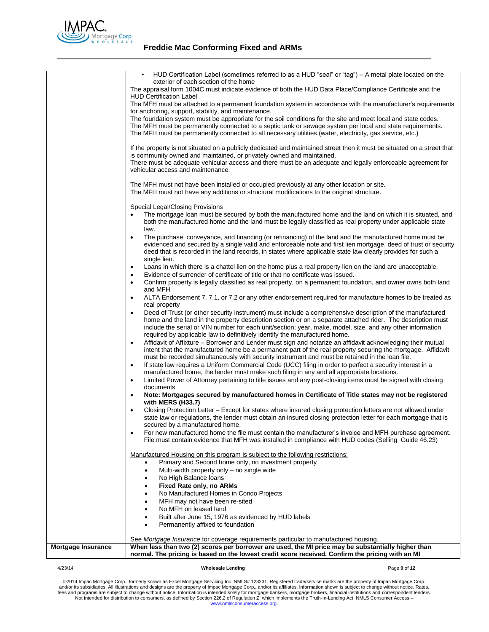

| exterior of each section of the home<br>The appraisal form 1004C must indicate evidence of both the HUD Data Place/Compliance Certificate and the<br><b>HUD Certification Label</b><br>The MFH must be attached to a permanent foundation system in accordance with the manufacturer's requirements<br>for anchoring, support, stability, and maintenance.<br>The foundation system must be appropriate for the soil conditions for the site and meet local and state codes.<br>The MFH must be permanently connected to a septic tank or sewage system per local and state requirements.<br>The MFH must be permanently connected to all necessary utilities (water, electricity, gas service, etc.)<br>If the property is not situated on a publicly dedicated and maintained street then it must be situated on a street that<br>is community owned and maintained, or privately owned and maintained.<br>There must be adequate vehicular access and there must be an adequate and legally enforceable agreement for<br>vehicular access and maintenance.<br>The MFH must not have been installed or occupied previously at any other location or site.<br>The MFH must not have any additions or structural modifications to the original structure.<br>Special Legal/Closing Provisions<br>both the manufactured home and the land must be legally classified as real property under applicable state<br>law.<br>The purchase, conveyance, and financing (or refinancing) of the land and the manufactured home must be<br>$\bullet$<br>deed that is recorded in the land records, in states where applicable state law clearly provides for such a<br>single lien.<br>Loans in which there is a chattel lien on the home plus a real property lien on the land are unacceptable.<br>Evidence of surrender of certificate of title or that no certificate was issued.<br>$\bullet$<br>Confirm property is legally classified as real property, on a permanent foundation, and owner owns both land<br>٠<br>and MFH<br>ALTA Endorsement 7, 7.1, or 7.2 or any other endorsement required for manufacture homes to be treated as<br>٠<br>real property<br>Deed of Trust (or other security instrument) must include a comprehensive description of the manufactured<br>$\bullet$<br>home and the land in the property description section or on a separate attached rider. The description must<br>include the serial or VIN number for each unit/section; year, make, model, size, and any other information<br>required by applicable law to definitively identify the manufactured home.<br>Affidavit of Affixture – Borrower and Lender must sign and notarize an affidavit acknowledging their mutual<br>$\bullet$<br>intent that the manufactured home be a permanent part of the real property securing the mortgage. Affidavit<br>must be recorded simultaneously with security instrument and must be retained in the loan file.<br>If state law requires a Uniform Commercial Code (UCC) filing in order to perfect a security interest in a<br>$\bullet$<br>manufactured home, the lender must make such filing in any and all appropriate locations.<br>Limited Power of Attorney pertaining to title issues and any post-closing items must be signed with closing<br>$\bullet$<br>documents<br>Note: Mortgages secured by manufactured homes in Certificate of Title states may not be registered<br>٠<br>with MERS (H33.7)<br>Closing Protection Letter - Except for states where insured closing protection letters are not allowed under<br>state law or regulations, the lender must obtain an insured closing protection letter for each mortgage that is<br>secured by a manufactured home.<br>For new manufactured home the file must contain the manufacturer's invoice and MFH purchase agreement.<br>٠<br>File must contain evidence that MFH was installed in compliance with HUD codes (Selling Guide 46.23)<br><u>Manufactured Housing on this program is subject to the following restrictions:</u><br>Primary and Second home only, no investment property<br>Multi-width property only - no single wide<br>$\bullet$<br>No High Balance loans<br>Fixed Rate only, no ARMs<br>٠<br>No Manufactured Homes in Condo Projects<br>MFH may not have been re-sited<br>No MFH on leased land<br>Built after June 15, 1976 as evidenced by HUD labels<br>Permanently affixed to foundation<br>See Mortgage Insurance for coverage requirements particular to manufactured housing.<br>When less than two (2) scores per borrower are used, the MI price may be substantially higher than<br><b>Mortgage Insurance</b> |                                                                                                                 |
|------------------------------------------------------------------------------------------------------------------------------------------------------------------------------------------------------------------------------------------------------------------------------------------------------------------------------------------------------------------------------------------------------------------------------------------------------------------------------------------------------------------------------------------------------------------------------------------------------------------------------------------------------------------------------------------------------------------------------------------------------------------------------------------------------------------------------------------------------------------------------------------------------------------------------------------------------------------------------------------------------------------------------------------------------------------------------------------------------------------------------------------------------------------------------------------------------------------------------------------------------------------------------------------------------------------------------------------------------------------------------------------------------------------------------------------------------------------------------------------------------------------------------------------------------------------------------------------------------------------------------------------------------------------------------------------------------------------------------------------------------------------------------------------------------------------------------------------------------------------------------------------------------------------------------------------------------------------------------------------------------------------------------------------------------------------------------------------------------------------------------------------------------------------------------------------------------------------------------------------------------------------------------------------------------------------------------------------------------------------------------------------------------------------------------------------------------------------------------------------------------------------------------------------------------------------------------------------------------------------------------------------------------------------------------------------------------------------------------------------------------------------------------------------------------------------------------------------------------------------------------------------------------------------------------------------------------------------------------------------------------------------------------------------------------------------------------------------------------------------------------------------------------------------------------------------------------------------------------------------------------------------------------------------------------------------------------------------------------------------------------------------------------------------------------------------------------------------------------------------------------------------------------------------------------------------------------------------------------------------------------------------------------------------------------------------------------------------------------------------------------------------------------------------------------------------------------------------------------------------------------------------------------------------------------------------------------------------------------------------------------------------------------------------------------------------------------------------------------------------------------------------------------------------------------------------------------------------------------------------------------------------------------------------------------------------------------------------------------------------------------------------------------------------------------------------------------------------------------------------------------------------------------------------------------------------------------------------------------------------------------------------------|-----------------------------------------------------------------------------------------------------------------|
|                                                                                                                                                                                                                                                                                                                                                                                                                                                                                                                                                                                                                                                                                                                                                                                                                                                                                                                                                                                                                                                                                                                                                                                                                                                                                                                                                                                                                                                                                                                                                                                                                                                                                                                                                                                                                                                                                                                                                                                                                                                                                                                                                                                                                                                                                                                                                                                                                                                                                                                                                                                                                                                                                                                                                                                                                                                                                                                                                                                                                                                                                                                                                                                                                                                                                                                                                                                                                                                                                                                                                                                                                                                                                                                                                                                                                                                                                                                                                                                                                                                                                                                                                                                                                                                                                                                                                                                                                                                                                                                                                                                                                                                | HUD Certification Label (sometimes referred to as a HUD "seal" or "tag") – A metal plate located on the         |
|                                                                                                                                                                                                                                                                                                                                                                                                                                                                                                                                                                                                                                                                                                                                                                                                                                                                                                                                                                                                                                                                                                                                                                                                                                                                                                                                                                                                                                                                                                                                                                                                                                                                                                                                                                                                                                                                                                                                                                                                                                                                                                                                                                                                                                                                                                                                                                                                                                                                                                                                                                                                                                                                                                                                                                                                                                                                                                                                                                                                                                                                                                                                                                                                                                                                                                                                                                                                                                                                                                                                                                                                                                                                                                                                                                                                                                                                                                                                                                                                                                                                                                                                                                                                                                                                                                                                                                                                                                                                                                                                                                                                                                                |                                                                                                                 |
|                                                                                                                                                                                                                                                                                                                                                                                                                                                                                                                                                                                                                                                                                                                                                                                                                                                                                                                                                                                                                                                                                                                                                                                                                                                                                                                                                                                                                                                                                                                                                                                                                                                                                                                                                                                                                                                                                                                                                                                                                                                                                                                                                                                                                                                                                                                                                                                                                                                                                                                                                                                                                                                                                                                                                                                                                                                                                                                                                                                                                                                                                                                                                                                                                                                                                                                                                                                                                                                                                                                                                                                                                                                                                                                                                                                                                                                                                                                                                                                                                                                                                                                                                                                                                                                                                                                                                                                                                                                                                                                                                                                                                                                |                                                                                                                 |
|                                                                                                                                                                                                                                                                                                                                                                                                                                                                                                                                                                                                                                                                                                                                                                                                                                                                                                                                                                                                                                                                                                                                                                                                                                                                                                                                                                                                                                                                                                                                                                                                                                                                                                                                                                                                                                                                                                                                                                                                                                                                                                                                                                                                                                                                                                                                                                                                                                                                                                                                                                                                                                                                                                                                                                                                                                                                                                                                                                                                                                                                                                                                                                                                                                                                                                                                                                                                                                                                                                                                                                                                                                                                                                                                                                                                                                                                                                                                                                                                                                                                                                                                                                                                                                                                                                                                                                                                                                                                                                                                                                                                                                                |                                                                                                                 |
|                                                                                                                                                                                                                                                                                                                                                                                                                                                                                                                                                                                                                                                                                                                                                                                                                                                                                                                                                                                                                                                                                                                                                                                                                                                                                                                                                                                                                                                                                                                                                                                                                                                                                                                                                                                                                                                                                                                                                                                                                                                                                                                                                                                                                                                                                                                                                                                                                                                                                                                                                                                                                                                                                                                                                                                                                                                                                                                                                                                                                                                                                                                                                                                                                                                                                                                                                                                                                                                                                                                                                                                                                                                                                                                                                                                                                                                                                                                                                                                                                                                                                                                                                                                                                                                                                                                                                                                                                                                                                                                                                                                                                                                |                                                                                                                 |
|                                                                                                                                                                                                                                                                                                                                                                                                                                                                                                                                                                                                                                                                                                                                                                                                                                                                                                                                                                                                                                                                                                                                                                                                                                                                                                                                                                                                                                                                                                                                                                                                                                                                                                                                                                                                                                                                                                                                                                                                                                                                                                                                                                                                                                                                                                                                                                                                                                                                                                                                                                                                                                                                                                                                                                                                                                                                                                                                                                                                                                                                                                                                                                                                                                                                                                                                                                                                                                                                                                                                                                                                                                                                                                                                                                                                                                                                                                                                                                                                                                                                                                                                                                                                                                                                                                                                                                                                                                                                                                                                                                                                                                                |                                                                                                                 |
|                                                                                                                                                                                                                                                                                                                                                                                                                                                                                                                                                                                                                                                                                                                                                                                                                                                                                                                                                                                                                                                                                                                                                                                                                                                                                                                                                                                                                                                                                                                                                                                                                                                                                                                                                                                                                                                                                                                                                                                                                                                                                                                                                                                                                                                                                                                                                                                                                                                                                                                                                                                                                                                                                                                                                                                                                                                                                                                                                                                                                                                                                                                                                                                                                                                                                                                                                                                                                                                                                                                                                                                                                                                                                                                                                                                                                                                                                                                                                                                                                                                                                                                                                                                                                                                                                                                                                                                                                                                                                                                                                                                                                                                |                                                                                                                 |
|                                                                                                                                                                                                                                                                                                                                                                                                                                                                                                                                                                                                                                                                                                                                                                                                                                                                                                                                                                                                                                                                                                                                                                                                                                                                                                                                                                                                                                                                                                                                                                                                                                                                                                                                                                                                                                                                                                                                                                                                                                                                                                                                                                                                                                                                                                                                                                                                                                                                                                                                                                                                                                                                                                                                                                                                                                                                                                                                                                                                                                                                                                                                                                                                                                                                                                                                                                                                                                                                                                                                                                                                                                                                                                                                                                                                                                                                                                                                                                                                                                                                                                                                                                                                                                                                                                                                                                                                                                                                                                                                                                                                                                                |                                                                                                                 |
|                                                                                                                                                                                                                                                                                                                                                                                                                                                                                                                                                                                                                                                                                                                                                                                                                                                                                                                                                                                                                                                                                                                                                                                                                                                                                                                                                                                                                                                                                                                                                                                                                                                                                                                                                                                                                                                                                                                                                                                                                                                                                                                                                                                                                                                                                                                                                                                                                                                                                                                                                                                                                                                                                                                                                                                                                                                                                                                                                                                                                                                                                                                                                                                                                                                                                                                                                                                                                                                                                                                                                                                                                                                                                                                                                                                                                                                                                                                                                                                                                                                                                                                                                                                                                                                                                                                                                                                                                                                                                                                                                                                                                                                |                                                                                                                 |
|                                                                                                                                                                                                                                                                                                                                                                                                                                                                                                                                                                                                                                                                                                                                                                                                                                                                                                                                                                                                                                                                                                                                                                                                                                                                                                                                                                                                                                                                                                                                                                                                                                                                                                                                                                                                                                                                                                                                                                                                                                                                                                                                                                                                                                                                                                                                                                                                                                                                                                                                                                                                                                                                                                                                                                                                                                                                                                                                                                                                                                                                                                                                                                                                                                                                                                                                                                                                                                                                                                                                                                                                                                                                                                                                                                                                                                                                                                                                                                                                                                                                                                                                                                                                                                                                                                                                                                                                                                                                                                                                                                                                                                                |                                                                                                                 |
|                                                                                                                                                                                                                                                                                                                                                                                                                                                                                                                                                                                                                                                                                                                                                                                                                                                                                                                                                                                                                                                                                                                                                                                                                                                                                                                                                                                                                                                                                                                                                                                                                                                                                                                                                                                                                                                                                                                                                                                                                                                                                                                                                                                                                                                                                                                                                                                                                                                                                                                                                                                                                                                                                                                                                                                                                                                                                                                                                                                                                                                                                                                                                                                                                                                                                                                                                                                                                                                                                                                                                                                                                                                                                                                                                                                                                                                                                                                                                                                                                                                                                                                                                                                                                                                                                                                                                                                                                                                                                                                                                                                                                                                |                                                                                                                 |
|                                                                                                                                                                                                                                                                                                                                                                                                                                                                                                                                                                                                                                                                                                                                                                                                                                                                                                                                                                                                                                                                                                                                                                                                                                                                                                                                                                                                                                                                                                                                                                                                                                                                                                                                                                                                                                                                                                                                                                                                                                                                                                                                                                                                                                                                                                                                                                                                                                                                                                                                                                                                                                                                                                                                                                                                                                                                                                                                                                                                                                                                                                                                                                                                                                                                                                                                                                                                                                                                                                                                                                                                                                                                                                                                                                                                                                                                                                                                                                                                                                                                                                                                                                                                                                                                                                                                                                                                                                                                                                                                                                                                                                                |                                                                                                                 |
|                                                                                                                                                                                                                                                                                                                                                                                                                                                                                                                                                                                                                                                                                                                                                                                                                                                                                                                                                                                                                                                                                                                                                                                                                                                                                                                                                                                                                                                                                                                                                                                                                                                                                                                                                                                                                                                                                                                                                                                                                                                                                                                                                                                                                                                                                                                                                                                                                                                                                                                                                                                                                                                                                                                                                                                                                                                                                                                                                                                                                                                                                                                                                                                                                                                                                                                                                                                                                                                                                                                                                                                                                                                                                                                                                                                                                                                                                                                                                                                                                                                                                                                                                                                                                                                                                                                                                                                                                                                                                                                                                                                                                                                |                                                                                                                 |
|                                                                                                                                                                                                                                                                                                                                                                                                                                                                                                                                                                                                                                                                                                                                                                                                                                                                                                                                                                                                                                                                                                                                                                                                                                                                                                                                                                                                                                                                                                                                                                                                                                                                                                                                                                                                                                                                                                                                                                                                                                                                                                                                                                                                                                                                                                                                                                                                                                                                                                                                                                                                                                                                                                                                                                                                                                                                                                                                                                                                                                                                                                                                                                                                                                                                                                                                                                                                                                                                                                                                                                                                                                                                                                                                                                                                                                                                                                                                                                                                                                                                                                                                                                                                                                                                                                                                                                                                                                                                                                                                                                                                                                                |                                                                                                                 |
|                                                                                                                                                                                                                                                                                                                                                                                                                                                                                                                                                                                                                                                                                                                                                                                                                                                                                                                                                                                                                                                                                                                                                                                                                                                                                                                                                                                                                                                                                                                                                                                                                                                                                                                                                                                                                                                                                                                                                                                                                                                                                                                                                                                                                                                                                                                                                                                                                                                                                                                                                                                                                                                                                                                                                                                                                                                                                                                                                                                                                                                                                                                                                                                                                                                                                                                                                                                                                                                                                                                                                                                                                                                                                                                                                                                                                                                                                                                                                                                                                                                                                                                                                                                                                                                                                                                                                                                                                                                                                                                                                                                                                                                | The mortgage loan must be secured by both the manufactured home and the land on which it is situated, and       |
|                                                                                                                                                                                                                                                                                                                                                                                                                                                                                                                                                                                                                                                                                                                                                                                                                                                                                                                                                                                                                                                                                                                                                                                                                                                                                                                                                                                                                                                                                                                                                                                                                                                                                                                                                                                                                                                                                                                                                                                                                                                                                                                                                                                                                                                                                                                                                                                                                                                                                                                                                                                                                                                                                                                                                                                                                                                                                                                                                                                                                                                                                                                                                                                                                                                                                                                                                                                                                                                                                                                                                                                                                                                                                                                                                                                                                                                                                                                                                                                                                                                                                                                                                                                                                                                                                                                                                                                                                                                                                                                                                                                                                                                |                                                                                                                 |
|                                                                                                                                                                                                                                                                                                                                                                                                                                                                                                                                                                                                                                                                                                                                                                                                                                                                                                                                                                                                                                                                                                                                                                                                                                                                                                                                                                                                                                                                                                                                                                                                                                                                                                                                                                                                                                                                                                                                                                                                                                                                                                                                                                                                                                                                                                                                                                                                                                                                                                                                                                                                                                                                                                                                                                                                                                                                                                                                                                                                                                                                                                                                                                                                                                                                                                                                                                                                                                                                                                                                                                                                                                                                                                                                                                                                                                                                                                                                                                                                                                                                                                                                                                                                                                                                                                                                                                                                                                                                                                                                                                                                                                                |                                                                                                                 |
|                                                                                                                                                                                                                                                                                                                                                                                                                                                                                                                                                                                                                                                                                                                                                                                                                                                                                                                                                                                                                                                                                                                                                                                                                                                                                                                                                                                                                                                                                                                                                                                                                                                                                                                                                                                                                                                                                                                                                                                                                                                                                                                                                                                                                                                                                                                                                                                                                                                                                                                                                                                                                                                                                                                                                                                                                                                                                                                                                                                                                                                                                                                                                                                                                                                                                                                                                                                                                                                                                                                                                                                                                                                                                                                                                                                                                                                                                                                                                                                                                                                                                                                                                                                                                                                                                                                                                                                                                                                                                                                                                                                                                                                | evidenced and secured by a single valid and enforceable note and first lien mortgage, deed of trust or security |
|                                                                                                                                                                                                                                                                                                                                                                                                                                                                                                                                                                                                                                                                                                                                                                                                                                                                                                                                                                                                                                                                                                                                                                                                                                                                                                                                                                                                                                                                                                                                                                                                                                                                                                                                                                                                                                                                                                                                                                                                                                                                                                                                                                                                                                                                                                                                                                                                                                                                                                                                                                                                                                                                                                                                                                                                                                                                                                                                                                                                                                                                                                                                                                                                                                                                                                                                                                                                                                                                                                                                                                                                                                                                                                                                                                                                                                                                                                                                                                                                                                                                                                                                                                                                                                                                                                                                                                                                                                                                                                                                                                                                                                                |                                                                                                                 |
|                                                                                                                                                                                                                                                                                                                                                                                                                                                                                                                                                                                                                                                                                                                                                                                                                                                                                                                                                                                                                                                                                                                                                                                                                                                                                                                                                                                                                                                                                                                                                                                                                                                                                                                                                                                                                                                                                                                                                                                                                                                                                                                                                                                                                                                                                                                                                                                                                                                                                                                                                                                                                                                                                                                                                                                                                                                                                                                                                                                                                                                                                                                                                                                                                                                                                                                                                                                                                                                                                                                                                                                                                                                                                                                                                                                                                                                                                                                                                                                                                                                                                                                                                                                                                                                                                                                                                                                                                                                                                                                                                                                                                                                |                                                                                                                 |
|                                                                                                                                                                                                                                                                                                                                                                                                                                                                                                                                                                                                                                                                                                                                                                                                                                                                                                                                                                                                                                                                                                                                                                                                                                                                                                                                                                                                                                                                                                                                                                                                                                                                                                                                                                                                                                                                                                                                                                                                                                                                                                                                                                                                                                                                                                                                                                                                                                                                                                                                                                                                                                                                                                                                                                                                                                                                                                                                                                                                                                                                                                                                                                                                                                                                                                                                                                                                                                                                                                                                                                                                                                                                                                                                                                                                                                                                                                                                                                                                                                                                                                                                                                                                                                                                                                                                                                                                                                                                                                                                                                                                                                                |                                                                                                                 |
|                                                                                                                                                                                                                                                                                                                                                                                                                                                                                                                                                                                                                                                                                                                                                                                                                                                                                                                                                                                                                                                                                                                                                                                                                                                                                                                                                                                                                                                                                                                                                                                                                                                                                                                                                                                                                                                                                                                                                                                                                                                                                                                                                                                                                                                                                                                                                                                                                                                                                                                                                                                                                                                                                                                                                                                                                                                                                                                                                                                                                                                                                                                                                                                                                                                                                                                                                                                                                                                                                                                                                                                                                                                                                                                                                                                                                                                                                                                                                                                                                                                                                                                                                                                                                                                                                                                                                                                                                                                                                                                                                                                                                                                |                                                                                                                 |
|                                                                                                                                                                                                                                                                                                                                                                                                                                                                                                                                                                                                                                                                                                                                                                                                                                                                                                                                                                                                                                                                                                                                                                                                                                                                                                                                                                                                                                                                                                                                                                                                                                                                                                                                                                                                                                                                                                                                                                                                                                                                                                                                                                                                                                                                                                                                                                                                                                                                                                                                                                                                                                                                                                                                                                                                                                                                                                                                                                                                                                                                                                                                                                                                                                                                                                                                                                                                                                                                                                                                                                                                                                                                                                                                                                                                                                                                                                                                                                                                                                                                                                                                                                                                                                                                                                                                                                                                                                                                                                                                                                                                                                                |                                                                                                                 |
|                                                                                                                                                                                                                                                                                                                                                                                                                                                                                                                                                                                                                                                                                                                                                                                                                                                                                                                                                                                                                                                                                                                                                                                                                                                                                                                                                                                                                                                                                                                                                                                                                                                                                                                                                                                                                                                                                                                                                                                                                                                                                                                                                                                                                                                                                                                                                                                                                                                                                                                                                                                                                                                                                                                                                                                                                                                                                                                                                                                                                                                                                                                                                                                                                                                                                                                                                                                                                                                                                                                                                                                                                                                                                                                                                                                                                                                                                                                                                                                                                                                                                                                                                                                                                                                                                                                                                                                                                                                                                                                                                                                                                                                |                                                                                                                 |
|                                                                                                                                                                                                                                                                                                                                                                                                                                                                                                                                                                                                                                                                                                                                                                                                                                                                                                                                                                                                                                                                                                                                                                                                                                                                                                                                                                                                                                                                                                                                                                                                                                                                                                                                                                                                                                                                                                                                                                                                                                                                                                                                                                                                                                                                                                                                                                                                                                                                                                                                                                                                                                                                                                                                                                                                                                                                                                                                                                                                                                                                                                                                                                                                                                                                                                                                                                                                                                                                                                                                                                                                                                                                                                                                                                                                                                                                                                                                                                                                                                                                                                                                                                                                                                                                                                                                                                                                                                                                                                                                                                                                                                                |                                                                                                                 |
|                                                                                                                                                                                                                                                                                                                                                                                                                                                                                                                                                                                                                                                                                                                                                                                                                                                                                                                                                                                                                                                                                                                                                                                                                                                                                                                                                                                                                                                                                                                                                                                                                                                                                                                                                                                                                                                                                                                                                                                                                                                                                                                                                                                                                                                                                                                                                                                                                                                                                                                                                                                                                                                                                                                                                                                                                                                                                                                                                                                                                                                                                                                                                                                                                                                                                                                                                                                                                                                                                                                                                                                                                                                                                                                                                                                                                                                                                                                                                                                                                                                                                                                                                                                                                                                                                                                                                                                                                                                                                                                                                                                                                                                |                                                                                                                 |
|                                                                                                                                                                                                                                                                                                                                                                                                                                                                                                                                                                                                                                                                                                                                                                                                                                                                                                                                                                                                                                                                                                                                                                                                                                                                                                                                                                                                                                                                                                                                                                                                                                                                                                                                                                                                                                                                                                                                                                                                                                                                                                                                                                                                                                                                                                                                                                                                                                                                                                                                                                                                                                                                                                                                                                                                                                                                                                                                                                                                                                                                                                                                                                                                                                                                                                                                                                                                                                                                                                                                                                                                                                                                                                                                                                                                                                                                                                                                                                                                                                                                                                                                                                                                                                                                                                                                                                                                                                                                                                                                                                                                                                                |                                                                                                                 |
|                                                                                                                                                                                                                                                                                                                                                                                                                                                                                                                                                                                                                                                                                                                                                                                                                                                                                                                                                                                                                                                                                                                                                                                                                                                                                                                                                                                                                                                                                                                                                                                                                                                                                                                                                                                                                                                                                                                                                                                                                                                                                                                                                                                                                                                                                                                                                                                                                                                                                                                                                                                                                                                                                                                                                                                                                                                                                                                                                                                                                                                                                                                                                                                                                                                                                                                                                                                                                                                                                                                                                                                                                                                                                                                                                                                                                                                                                                                                                                                                                                                                                                                                                                                                                                                                                                                                                                                                                                                                                                                                                                                                                                                |                                                                                                                 |
|                                                                                                                                                                                                                                                                                                                                                                                                                                                                                                                                                                                                                                                                                                                                                                                                                                                                                                                                                                                                                                                                                                                                                                                                                                                                                                                                                                                                                                                                                                                                                                                                                                                                                                                                                                                                                                                                                                                                                                                                                                                                                                                                                                                                                                                                                                                                                                                                                                                                                                                                                                                                                                                                                                                                                                                                                                                                                                                                                                                                                                                                                                                                                                                                                                                                                                                                                                                                                                                                                                                                                                                                                                                                                                                                                                                                                                                                                                                                                                                                                                                                                                                                                                                                                                                                                                                                                                                                                                                                                                                                                                                                                                                |                                                                                                                 |
|                                                                                                                                                                                                                                                                                                                                                                                                                                                                                                                                                                                                                                                                                                                                                                                                                                                                                                                                                                                                                                                                                                                                                                                                                                                                                                                                                                                                                                                                                                                                                                                                                                                                                                                                                                                                                                                                                                                                                                                                                                                                                                                                                                                                                                                                                                                                                                                                                                                                                                                                                                                                                                                                                                                                                                                                                                                                                                                                                                                                                                                                                                                                                                                                                                                                                                                                                                                                                                                                                                                                                                                                                                                                                                                                                                                                                                                                                                                                                                                                                                                                                                                                                                                                                                                                                                                                                                                                                                                                                                                                                                                                                                                |                                                                                                                 |
|                                                                                                                                                                                                                                                                                                                                                                                                                                                                                                                                                                                                                                                                                                                                                                                                                                                                                                                                                                                                                                                                                                                                                                                                                                                                                                                                                                                                                                                                                                                                                                                                                                                                                                                                                                                                                                                                                                                                                                                                                                                                                                                                                                                                                                                                                                                                                                                                                                                                                                                                                                                                                                                                                                                                                                                                                                                                                                                                                                                                                                                                                                                                                                                                                                                                                                                                                                                                                                                                                                                                                                                                                                                                                                                                                                                                                                                                                                                                                                                                                                                                                                                                                                                                                                                                                                                                                                                                                                                                                                                                                                                                                                                |                                                                                                                 |
|                                                                                                                                                                                                                                                                                                                                                                                                                                                                                                                                                                                                                                                                                                                                                                                                                                                                                                                                                                                                                                                                                                                                                                                                                                                                                                                                                                                                                                                                                                                                                                                                                                                                                                                                                                                                                                                                                                                                                                                                                                                                                                                                                                                                                                                                                                                                                                                                                                                                                                                                                                                                                                                                                                                                                                                                                                                                                                                                                                                                                                                                                                                                                                                                                                                                                                                                                                                                                                                                                                                                                                                                                                                                                                                                                                                                                                                                                                                                                                                                                                                                                                                                                                                                                                                                                                                                                                                                                                                                                                                                                                                                                                                |                                                                                                                 |
|                                                                                                                                                                                                                                                                                                                                                                                                                                                                                                                                                                                                                                                                                                                                                                                                                                                                                                                                                                                                                                                                                                                                                                                                                                                                                                                                                                                                                                                                                                                                                                                                                                                                                                                                                                                                                                                                                                                                                                                                                                                                                                                                                                                                                                                                                                                                                                                                                                                                                                                                                                                                                                                                                                                                                                                                                                                                                                                                                                                                                                                                                                                                                                                                                                                                                                                                                                                                                                                                                                                                                                                                                                                                                                                                                                                                                                                                                                                                                                                                                                                                                                                                                                                                                                                                                                                                                                                                                                                                                                                                                                                                                                                |                                                                                                                 |
|                                                                                                                                                                                                                                                                                                                                                                                                                                                                                                                                                                                                                                                                                                                                                                                                                                                                                                                                                                                                                                                                                                                                                                                                                                                                                                                                                                                                                                                                                                                                                                                                                                                                                                                                                                                                                                                                                                                                                                                                                                                                                                                                                                                                                                                                                                                                                                                                                                                                                                                                                                                                                                                                                                                                                                                                                                                                                                                                                                                                                                                                                                                                                                                                                                                                                                                                                                                                                                                                                                                                                                                                                                                                                                                                                                                                                                                                                                                                                                                                                                                                                                                                                                                                                                                                                                                                                                                                                                                                                                                                                                                                                                                |                                                                                                                 |
|                                                                                                                                                                                                                                                                                                                                                                                                                                                                                                                                                                                                                                                                                                                                                                                                                                                                                                                                                                                                                                                                                                                                                                                                                                                                                                                                                                                                                                                                                                                                                                                                                                                                                                                                                                                                                                                                                                                                                                                                                                                                                                                                                                                                                                                                                                                                                                                                                                                                                                                                                                                                                                                                                                                                                                                                                                                                                                                                                                                                                                                                                                                                                                                                                                                                                                                                                                                                                                                                                                                                                                                                                                                                                                                                                                                                                                                                                                                                                                                                                                                                                                                                                                                                                                                                                                                                                                                                                                                                                                                                                                                                                                                |                                                                                                                 |
|                                                                                                                                                                                                                                                                                                                                                                                                                                                                                                                                                                                                                                                                                                                                                                                                                                                                                                                                                                                                                                                                                                                                                                                                                                                                                                                                                                                                                                                                                                                                                                                                                                                                                                                                                                                                                                                                                                                                                                                                                                                                                                                                                                                                                                                                                                                                                                                                                                                                                                                                                                                                                                                                                                                                                                                                                                                                                                                                                                                                                                                                                                                                                                                                                                                                                                                                                                                                                                                                                                                                                                                                                                                                                                                                                                                                                                                                                                                                                                                                                                                                                                                                                                                                                                                                                                                                                                                                                                                                                                                                                                                                                                                |                                                                                                                 |
|                                                                                                                                                                                                                                                                                                                                                                                                                                                                                                                                                                                                                                                                                                                                                                                                                                                                                                                                                                                                                                                                                                                                                                                                                                                                                                                                                                                                                                                                                                                                                                                                                                                                                                                                                                                                                                                                                                                                                                                                                                                                                                                                                                                                                                                                                                                                                                                                                                                                                                                                                                                                                                                                                                                                                                                                                                                                                                                                                                                                                                                                                                                                                                                                                                                                                                                                                                                                                                                                                                                                                                                                                                                                                                                                                                                                                                                                                                                                                                                                                                                                                                                                                                                                                                                                                                                                                                                                                                                                                                                                                                                                                                                |                                                                                                                 |
|                                                                                                                                                                                                                                                                                                                                                                                                                                                                                                                                                                                                                                                                                                                                                                                                                                                                                                                                                                                                                                                                                                                                                                                                                                                                                                                                                                                                                                                                                                                                                                                                                                                                                                                                                                                                                                                                                                                                                                                                                                                                                                                                                                                                                                                                                                                                                                                                                                                                                                                                                                                                                                                                                                                                                                                                                                                                                                                                                                                                                                                                                                                                                                                                                                                                                                                                                                                                                                                                                                                                                                                                                                                                                                                                                                                                                                                                                                                                                                                                                                                                                                                                                                                                                                                                                                                                                                                                                                                                                                                                                                                                                                                |                                                                                                                 |
|                                                                                                                                                                                                                                                                                                                                                                                                                                                                                                                                                                                                                                                                                                                                                                                                                                                                                                                                                                                                                                                                                                                                                                                                                                                                                                                                                                                                                                                                                                                                                                                                                                                                                                                                                                                                                                                                                                                                                                                                                                                                                                                                                                                                                                                                                                                                                                                                                                                                                                                                                                                                                                                                                                                                                                                                                                                                                                                                                                                                                                                                                                                                                                                                                                                                                                                                                                                                                                                                                                                                                                                                                                                                                                                                                                                                                                                                                                                                                                                                                                                                                                                                                                                                                                                                                                                                                                                                                                                                                                                                                                                                                                                |                                                                                                                 |
|                                                                                                                                                                                                                                                                                                                                                                                                                                                                                                                                                                                                                                                                                                                                                                                                                                                                                                                                                                                                                                                                                                                                                                                                                                                                                                                                                                                                                                                                                                                                                                                                                                                                                                                                                                                                                                                                                                                                                                                                                                                                                                                                                                                                                                                                                                                                                                                                                                                                                                                                                                                                                                                                                                                                                                                                                                                                                                                                                                                                                                                                                                                                                                                                                                                                                                                                                                                                                                                                                                                                                                                                                                                                                                                                                                                                                                                                                                                                                                                                                                                                                                                                                                                                                                                                                                                                                                                                                                                                                                                                                                                                                                                |                                                                                                                 |
|                                                                                                                                                                                                                                                                                                                                                                                                                                                                                                                                                                                                                                                                                                                                                                                                                                                                                                                                                                                                                                                                                                                                                                                                                                                                                                                                                                                                                                                                                                                                                                                                                                                                                                                                                                                                                                                                                                                                                                                                                                                                                                                                                                                                                                                                                                                                                                                                                                                                                                                                                                                                                                                                                                                                                                                                                                                                                                                                                                                                                                                                                                                                                                                                                                                                                                                                                                                                                                                                                                                                                                                                                                                                                                                                                                                                                                                                                                                                                                                                                                                                                                                                                                                                                                                                                                                                                                                                                                                                                                                                                                                                                                                |                                                                                                                 |
|                                                                                                                                                                                                                                                                                                                                                                                                                                                                                                                                                                                                                                                                                                                                                                                                                                                                                                                                                                                                                                                                                                                                                                                                                                                                                                                                                                                                                                                                                                                                                                                                                                                                                                                                                                                                                                                                                                                                                                                                                                                                                                                                                                                                                                                                                                                                                                                                                                                                                                                                                                                                                                                                                                                                                                                                                                                                                                                                                                                                                                                                                                                                                                                                                                                                                                                                                                                                                                                                                                                                                                                                                                                                                                                                                                                                                                                                                                                                                                                                                                                                                                                                                                                                                                                                                                                                                                                                                                                                                                                                                                                                                                                |                                                                                                                 |
|                                                                                                                                                                                                                                                                                                                                                                                                                                                                                                                                                                                                                                                                                                                                                                                                                                                                                                                                                                                                                                                                                                                                                                                                                                                                                                                                                                                                                                                                                                                                                                                                                                                                                                                                                                                                                                                                                                                                                                                                                                                                                                                                                                                                                                                                                                                                                                                                                                                                                                                                                                                                                                                                                                                                                                                                                                                                                                                                                                                                                                                                                                                                                                                                                                                                                                                                                                                                                                                                                                                                                                                                                                                                                                                                                                                                                                                                                                                                                                                                                                                                                                                                                                                                                                                                                                                                                                                                                                                                                                                                                                                                                                                |                                                                                                                 |
|                                                                                                                                                                                                                                                                                                                                                                                                                                                                                                                                                                                                                                                                                                                                                                                                                                                                                                                                                                                                                                                                                                                                                                                                                                                                                                                                                                                                                                                                                                                                                                                                                                                                                                                                                                                                                                                                                                                                                                                                                                                                                                                                                                                                                                                                                                                                                                                                                                                                                                                                                                                                                                                                                                                                                                                                                                                                                                                                                                                                                                                                                                                                                                                                                                                                                                                                                                                                                                                                                                                                                                                                                                                                                                                                                                                                                                                                                                                                                                                                                                                                                                                                                                                                                                                                                                                                                                                                                                                                                                                                                                                                                                                |                                                                                                                 |
|                                                                                                                                                                                                                                                                                                                                                                                                                                                                                                                                                                                                                                                                                                                                                                                                                                                                                                                                                                                                                                                                                                                                                                                                                                                                                                                                                                                                                                                                                                                                                                                                                                                                                                                                                                                                                                                                                                                                                                                                                                                                                                                                                                                                                                                                                                                                                                                                                                                                                                                                                                                                                                                                                                                                                                                                                                                                                                                                                                                                                                                                                                                                                                                                                                                                                                                                                                                                                                                                                                                                                                                                                                                                                                                                                                                                                                                                                                                                                                                                                                                                                                                                                                                                                                                                                                                                                                                                                                                                                                                                                                                                                                                |                                                                                                                 |
|                                                                                                                                                                                                                                                                                                                                                                                                                                                                                                                                                                                                                                                                                                                                                                                                                                                                                                                                                                                                                                                                                                                                                                                                                                                                                                                                                                                                                                                                                                                                                                                                                                                                                                                                                                                                                                                                                                                                                                                                                                                                                                                                                                                                                                                                                                                                                                                                                                                                                                                                                                                                                                                                                                                                                                                                                                                                                                                                                                                                                                                                                                                                                                                                                                                                                                                                                                                                                                                                                                                                                                                                                                                                                                                                                                                                                                                                                                                                                                                                                                                                                                                                                                                                                                                                                                                                                                                                                                                                                                                                                                                                                                                |                                                                                                                 |
|                                                                                                                                                                                                                                                                                                                                                                                                                                                                                                                                                                                                                                                                                                                                                                                                                                                                                                                                                                                                                                                                                                                                                                                                                                                                                                                                                                                                                                                                                                                                                                                                                                                                                                                                                                                                                                                                                                                                                                                                                                                                                                                                                                                                                                                                                                                                                                                                                                                                                                                                                                                                                                                                                                                                                                                                                                                                                                                                                                                                                                                                                                                                                                                                                                                                                                                                                                                                                                                                                                                                                                                                                                                                                                                                                                                                                                                                                                                                                                                                                                                                                                                                                                                                                                                                                                                                                                                                                                                                                                                                                                                                                                                |                                                                                                                 |
|                                                                                                                                                                                                                                                                                                                                                                                                                                                                                                                                                                                                                                                                                                                                                                                                                                                                                                                                                                                                                                                                                                                                                                                                                                                                                                                                                                                                                                                                                                                                                                                                                                                                                                                                                                                                                                                                                                                                                                                                                                                                                                                                                                                                                                                                                                                                                                                                                                                                                                                                                                                                                                                                                                                                                                                                                                                                                                                                                                                                                                                                                                                                                                                                                                                                                                                                                                                                                                                                                                                                                                                                                                                                                                                                                                                                                                                                                                                                                                                                                                                                                                                                                                                                                                                                                                                                                                                                                                                                                                                                                                                                                                                |                                                                                                                 |
|                                                                                                                                                                                                                                                                                                                                                                                                                                                                                                                                                                                                                                                                                                                                                                                                                                                                                                                                                                                                                                                                                                                                                                                                                                                                                                                                                                                                                                                                                                                                                                                                                                                                                                                                                                                                                                                                                                                                                                                                                                                                                                                                                                                                                                                                                                                                                                                                                                                                                                                                                                                                                                                                                                                                                                                                                                                                                                                                                                                                                                                                                                                                                                                                                                                                                                                                                                                                                                                                                                                                                                                                                                                                                                                                                                                                                                                                                                                                                                                                                                                                                                                                                                                                                                                                                                                                                                                                                                                                                                                                                                                                                                                |                                                                                                                 |
|                                                                                                                                                                                                                                                                                                                                                                                                                                                                                                                                                                                                                                                                                                                                                                                                                                                                                                                                                                                                                                                                                                                                                                                                                                                                                                                                                                                                                                                                                                                                                                                                                                                                                                                                                                                                                                                                                                                                                                                                                                                                                                                                                                                                                                                                                                                                                                                                                                                                                                                                                                                                                                                                                                                                                                                                                                                                                                                                                                                                                                                                                                                                                                                                                                                                                                                                                                                                                                                                                                                                                                                                                                                                                                                                                                                                                                                                                                                                                                                                                                                                                                                                                                                                                                                                                                                                                                                                                                                                                                                                                                                                                                                | normal. The pricing is based on the lowest credit score received. Confirm the pricing with an MI                |

## 4/23/14 **Wholesale Lending P**age **9** of **12**

@2014 Impac Mortgage Corp., formerly known as Excel Mortgage Servicing Inc. NMLS# 128231. Registered trade/service marks are the property of Impac Mortgage Corp.<br>https://www.assurfactions and designs are the property of Im [www.nmlsconsumeraccess.org.](http://www.nmlsconsumeraccess.org/)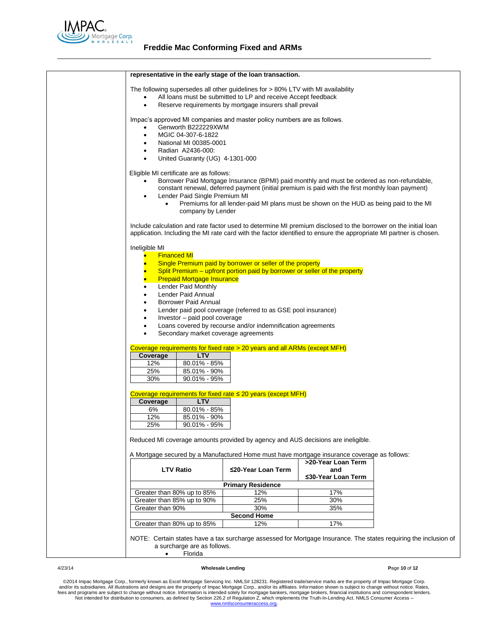

|                                                                                                                    | representative in the early stage of the loan transaction.                 |                                                                                                  |  |
|--------------------------------------------------------------------------------------------------------------------|----------------------------------------------------------------------------|--------------------------------------------------------------------------------------------------|--|
| The following supersedes all other guidelines for > 80% LTV with MI availability                                   |                                                                            |                                                                                                  |  |
| $\bullet$                                                                                                          | All loans must be submitted to LP and receive Accept feedback              |                                                                                                  |  |
| $\bullet$                                                                                                          | Reserve requirements by mortgage insurers shall prevail                    |                                                                                                  |  |
| Impac's approved MI companies and master policy numbers are as follows.                                            |                                                                            |                                                                                                  |  |
| Genworth B222229XWM<br>$\bullet$                                                                                   |                                                                            |                                                                                                  |  |
| MGIC 04-307-6-1822<br>٠                                                                                            |                                                                            |                                                                                                  |  |
| National MI 00385-0001<br>٠                                                                                        |                                                                            |                                                                                                  |  |
| Radian A2436-000:<br>$\bullet$                                                                                     |                                                                            |                                                                                                  |  |
| United Guaranty (UG) 4-1301-000<br>$\bullet$                                                                       |                                                                            |                                                                                                  |  |
|                                                                                                                    |                                                                            |                                                                                                  |  |
| Eligible MI certificate are as follows:                                                                            |                                                                            |                                                                                                  |  |
| $\bullet$                                                                                                          |                                                                            | Borrower Paid Mortgage Insurance (BPMI) paid monthly and must be ordered as non-refundable,      |  |
|                                                                                                                    |                                                                            | constant renewal, deferred payment (initial premium is paid with the first monthly loan payment) |  |
| Lender Paid Single Premium MI<br>$\bullet$                                                                         |                                                                            |                                                                                                  |  |
| $\bullet$                                                                                                          |                                                                            | Premiums for all lender-paid MI plans must be shown on the HUD as being paid to the MI           |  |
| company by Lender                                                                                                  |                                                                            |                                                                                                  |  |
| Include calculation and rate factor used to determine MI premium disclosed to the borrower on the initial loan     |                                                                            |                                                                                                  |  |
| application. Including the MI rate card with the factor identified to ensure the appropriate MI partner is chosen. |                                                                            |                                                                                                  |  |
|                                                                                                                    |                                                                            |                                                                                                  |  |
| Ineligible MI                                                                                                      |                                                                            |                                                                                                  |  |
| <b>Financed MI</b><br>۰                                                                                            |                                                                            |                                                                                                  |  |
|                                                                                                                    | Single Premium paid by borrower or seller of the property                  |                                                                                                  |  |
|                                                                                                                    | Split Premium – upfront portion paid by borrower or seller of the property |                                                                                                  |  |
| <b>Prepaid Mortgage Insurance</b><br>$\bullet$                                                                     |                                                                            |                                                                                                  |  |
| Lender Paid Monthly<br>٠                                                                                           |                                                                            |                                                                                                  |  |
| Lender Paid Annual<br>٠                                                                                            |                                                                            |                                                                                                  |  |
| Borrower Paid Annual<br>٠                                                                                          |                                                                            |                                                                                                  |  |
| ٠                                                                                                                  | Lender paid pool coverage (referred to as GSE pool insurance)              |                                                                                                  |  |
| Investor - paid pool coverage<br>$\bullet$                                                                         |                                                                            |                                                                                                  |  |
| ٠<br>Secondary market coverage agreements<br>٠                                                                     | Loans covered by recourse and/or indemnification agreements                |                                                                                                  |  |
|                                                                                                                    |                                                                            |                                                                                                  |  |
| Coverage requirements for fixed rate > 20 years and all ARMs (except MFH)                                          |                                                                            |                                                                                                  |  |
| <b>LTV</b><br>Coverage                                                                                             |                                                                            |                                                                                                  |  |
| 12%<br>80.01% - 85%                                                                                                |                                                                            |                                                                                                  |  |
| 85.01% - 90%<br>25%                                                                                                |                                                                            |                                                                                                  |  |
|                                                                                                                    |                                                                            |                                                                                                  |  |
| 30%<br>$90.01\% - 95\%$                                                                                            |                                                                            |                                                                                                  |  |
|                                                                                                                    |                                                                            |                                                                                                  |  |
| Coverage requirements for fixed rate $\leq$ 20 years (except MFH)<br><b>LTV</b><br>Coverage                        |                                                                            |                                                                                                  |  |
| 80.01% - 85%<br>6%                                                                                                 |                                                                            |                                                                                                  |  |
| 12%<br>85.01% - 90%                                                                                                |                                                                            |                                                                                                  |  |
| 25%<br>$90.01\% - 95\%$                                                                                            |                                                                            |                                                                                                  |  |
|                                                                                                                    |                                                                            |                                                                                                  |  |
| Reduced MI coverage amounts provided by agency and AUS decisions are ineligible.                                   |                                                                            |                                                                                                  |  |
| A Mortgage secured by a Manufactured Home must have mortgage insurance coverage as follows:                        |                                                                            |                                                                                                  |  |
|                                                                                                                    |                                                                            | >20-Year Loan Term                                                                               |  |
| <b>LTV Ratio</b>                                                                                                   | ≤20-Year Loan Term                                                         | and                                                                                              |  |
|                                                                                                                    |                                                                            | ≤30-Year Loan Term                                                                               |  |
|                                                                                                                    | <b>Primary Residence</b>                                                   |                                                                                                  |  |
| Greater than 80% up to 85%                                                                                         | 12%                                                                        | 17%                                                                                              |  |
| Greater than 85% up to 90%                                                                                         | 25%                                                                        | 30%                                                                                              |  |
| Greater than 90%                                                                                                   | 30%                                                                        | 35%                                                                                              |  |
| Greater than 80% up to 85%                                                                                         | <b>Second Home</b><br>12%                                                  | 17%                                                                                              |  |

#### 4/23/14 **Wholesale Lending P**age **10** of **12**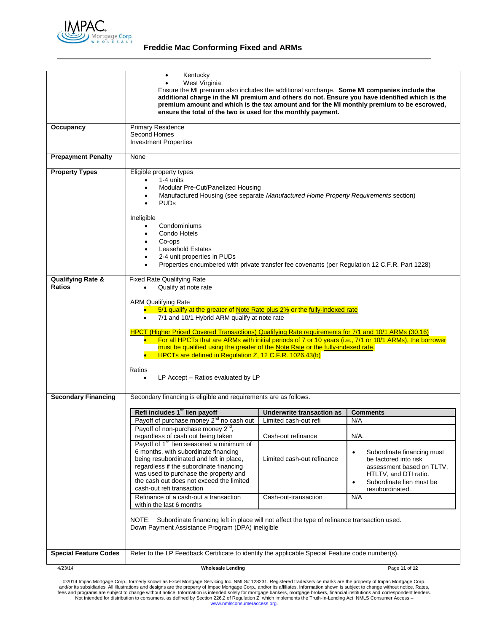

# **Freddie Mac Conforming Fixed and ARMs**

|                                             | Kentucky<br>$\bullet$<br>West Virginia<br>Ensure the MI premium also includes the additional surcharge. Some MI companies include the<br>additional charge in the MI premium and others do not. Ensure you have identified which is the<br>premium amount and which is the tax amount and for the MI monthly premium to be escrowed,<br>ensure the total of the two is used for the monthly payment.                                                                                                                                                                                                                                                                               |                                                                          |                                                                                                                                                                                                   |
|---------------------------------------------|------------------------------------------------------------------------------------------------------------------------------------------------------------------------------------------------------------------------------------------------------------------------------------------------------------------------------------------------------------------------------------------------------------------------------------------------------------------------------------------------------------------------------------------------------------------------------------------------------------------------------------------------------------------------------------|--------------------------------------------------------------------------|---------------------------------------------------------------------------------------------------------------------------------------------------------------------------------------------------|
| Occupancy                                   | <b>Primary Residence</b><br>Second Homes<br><b>Investment Properties</b>                                                                                                                                                                                                                                                                                                                                                                                                                                                                                                                                                                                                           |                                                                          |                                                                                                                                                                                                   |
| <b>Prepayment Penalty</b>                   | None                                                                                                                                                                                                                                                                                                                                                                                                                                                                                                                                                                                                                                                                               |                                                                          |                                                                                                                                                                                                   |
| <b>Property Types</b>                       | Eligible property types<br>1-4 units<br>Modular Pre-Cut/Panelized Housing<br>Manufactured Housing (see separate Manufactured Home Property Requirements section)<br><b>PUDs</b><br>Ineligible<br>Condominiums<br>Condo Hotels<br>Co-ops<br><b>Leasehold Estates</b><br>2-4 unit properties in PUDs<br>Properties encumbered with private transfer fee covenants (per Regulation 12 C.F.R. Part 1228)                                                                                                                                                                                                                                                                               |                                                                          |                                                                                                                                                                                                   |
| <b>Qualifying Rate &amp;</b>                | <b>Fixed Rate Qualifying Rate</b>                                                                                                                                                                                                                                                                                                                                                                                                                                                                                                                                                                                                                                                  |                                                                          |                                                                                                                                                                                                   |
| <b>Ratios</b><br><b>Secondary Financing</b> | Qualify at note rate<br><b>ARM Qualifying Rate</b><br>5/1 qualify at the greater of Note Rate plus 2% or the fully-indexed rate<br>7/1 and 10/1 Hybrid ARM qualify at note rate<br>HPCT (Higher Priced Covered Transactions) Qualifying Rate requirements for 7/1 and 10/1 ARMs (30.16)<br>For all HPCTs that are ARMs with initial periods of 7 or 10 years (i.e., 7/1 or 10/1 ARMs), the borrower<br>must be qualified using the greater of the Note Rate or the fully-indexed rate.<br>HPCTs are defined in Regulation Z, 12 C.F.R. 1026.43(b)<br>Ratios<br>LP Accept - Ratios evaluated by LP<br>$\bullet$<br>Secondary financing is eligible and requirements are as follows. |                                                                          |                                                                                                                                                                                                   |
|                                             | Refi includes 1 <sup>st</sup> lien payoff                                                                                                                                                                                                                                                                                                                                                                                                                                                                                                                                                                                                                                          |                                                                          |                                                                                                                                                                                                   |
|                                             | Payoff of purchase money 2 <sup>nd</sup> no cash out                                                                                                                                                                                                                                                                                                                                                                                                                                                                                                                                                                                                                               | Underwrite transaction as<br>Limited cash-out refi                       | <b>Comments</b><br>N/A                                                                                                                                                                            |
|                                             | Payoff of non-purchase money $2^{n}$ ,<br>regardless of cash out being taken<br>Payoff of 1 <sup>st</sup> lien seasoned a minimum of<br>6 months, with subordinate financing<br>being resubordinated and left in place,<br>regardless if the subordinate financing<br>was used to purchase the property and<br>the cash out does not exceed the limited<br>cash-out refi transaction<br>Refinance of a cash-out a transaction<br>within the last 6 months<br>NOTE: Subordinate financing left in place will not affect the type of refinance transaction used.<br>Down Payment Assistance Program (DPA) ineligible                                                                 | Cash-out refinance<br>Limited cash-out refinance<br>Cash-out-transaction | N/A.<br>Subordinate financing must<br>$\bullet$<br>be factored into risk<br>assessment based on TLTV,<br>HTLTV, and DTI ratio.<br>Subordinate lien must be<br>$\bullet$<br>resubordinated.<br>N/A |
|                                             |                                                                                                                                                                                                                                                                                                                                                                                                                                                                                                                                                                                                                                                                                    |                                                                          |                                                                                                                                                                                                   |
| <b>Special Feature Codes</b>                | Refer to the LP Feedback Certificate to identify the applicable Special Feature code number(s).                                                                                                                                                                                                                                                                                                                                                                                                                                                                                                                                                                                    |                                                                          |                                                                                                                                                                                                   |
| 4/23/14                                     | <b>Wholesale Lending</b>                                                                                                                                                                                                                                                                                                                                                                                                                                                                                                                                                                                                                                                           |                                                                          | Page 11 of 12                                                                                                                                                                                     |
|                                             |                                                                                                                                                                                                                                                                                                                                                                                                                                                                                                                                                                                                                                                                                    |                                                                          |                                                                                                                                                                                                   |

@2014 Impac Mortgage Corp., formerly known as Excel Mortgage Servicing Inc. NMLS# 128231. Registered trade/service marks are the property of Impac Mortgage Corp.<br>https://www.assurfactions and designs are the property of Im [www.nmlsconsumeraccess.org.](http://www.nmlsconsumeraccess.org/)